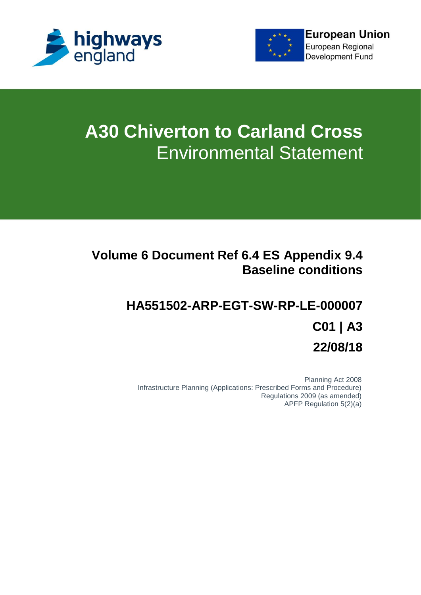



# **A30 Chiverton to Carland Cross** Environmental Statement

# **Volume 6 Document Ref 6.4 ES Appendix 9.4 Baseline conditions**

# **HA551502-ARP-EGT-SW-RP-LE-000007 C01 | A3 22/08/18**

Planning Act 2008 Infrastructure Planning (Applications: Prescribed Forms and Procedure) Regulations 2009 (as amended) APFP Regulation 5(2)(a)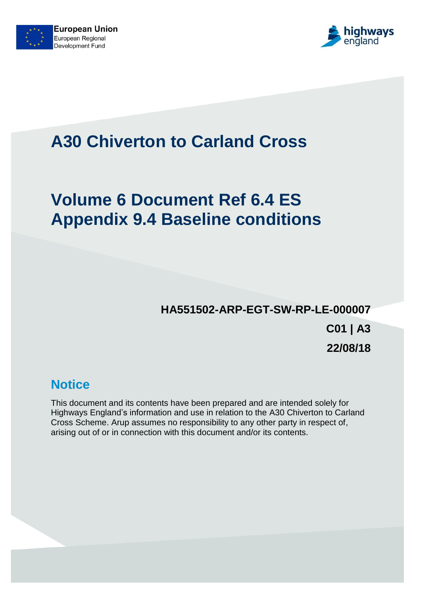



# **A30 Chiverton to Carland Cross**

# **Volume 6 Document Ref 6.4 ES Appendix 9.4 Baseline conditions**

# **HA551502-ARP-EGT-SW-RP-LE-000007**

**C01 | A3 22/08/18**

# **Notice**

This document and its contents have been prepared and are intended solely for Highways England's information and use in relation to the A30 Chiverton to Carland Cross Scheme. Arup assumes no responsibility to any other party in respect of, arising out of or in connection with this document and/or its contents.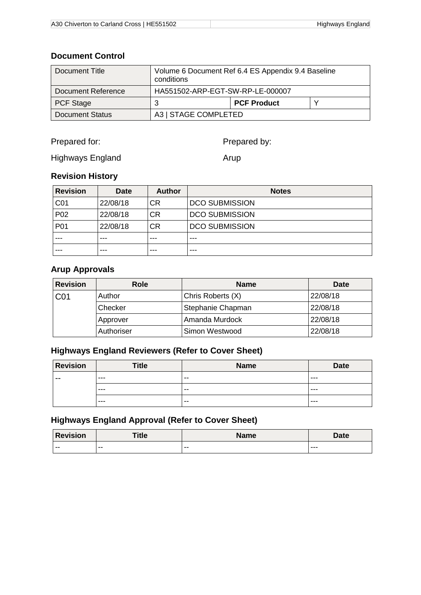#### **Document Control**

| Document Title            | Volume 6 Document Ref 6.4 ES Appendix 9.4 Baseline<br>conditions |                    |  |
|---------------------------|------------------------------------------------------------------|--------------------|--|
| <b>Document Reference</b> | HA551502-ARP-EGT-SW-RP-LE-000007                                 |                    |  |
| <b>PCF Stage</b>          | 3                                                                | <b>PCF Product</b> |  |
| <b>Document Status</b>    | A3   STAGE COMPLETED                                             |                    |  |

Prepared for:

Prepared by:

Highways England

Arup

## **Revision History**

| <b>Revision</b> | <b>Date</b> | <b>Author</b> | <b>Notes</b>          |
|-----------------|-------------|---------------|-----------------------|
| CO <sub>1</sub> | 22/08/18    | <b>CR</b>     | <b>DCO SUBMISSION</b> |
| P02             | 22/08/18    | <b>CR</b>     | <b>DCO SUBMISSION</b> |
| P01             | 22/08/18    | <b>CR</b>     | <b>DCO SUBMISSION</b> |
|                 | ---         | ---           | ---                   |
|                 | ---         | ---           | ---                   |

## **Arup Approvals**

| <b>Revision</b> | <b>Role</b> | <b>Name</b>       | <b>Date</b> |
|-----------------|-------------|-------------------|-------------|
| C <sub>01</sub> | Author      | Chris Roberts (X) | 22/08/18    |
|                 | Checker     | Stephanie Chapman | 22/08/18    |
|                 | Approver    | Amanda Murdock    | 22/08/18    |
|                 | Authoriser  | Simon Westwood    | 22/08/18    |

## **Highways England Reviewers (Refer to Cover Sheet)**

| <b>Revision</b> | <b>Title</b> | <b>Name</b> | <b>Date</b> |
|-----------------|--------------|-------------|-------------|
| $- -$           | $- - -$      | $- -$       | ---         |
|                 | $- - -$      | $- -$       | ---         |
|                 | $- - -$      | $- -$       | ---         |

## **Highways England Approval (Refer to Cover Sheet)**

| <b>Revision</b> | <b>Title</b> | <b>Name</b> | <b>Date</b> |
|-----------------|--------------|-------------|-------------|
| $- -$           | $- -$        | --          | $--$        |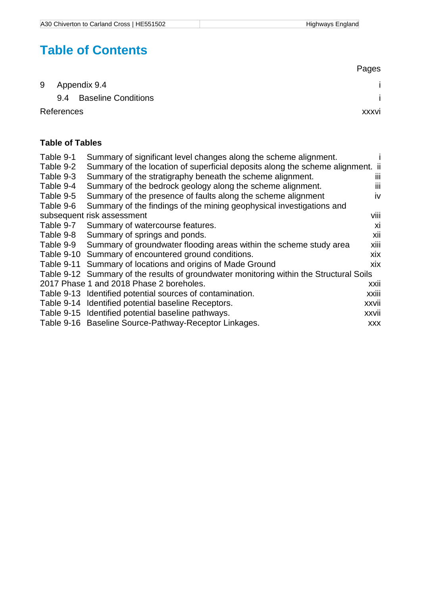# **Table of Contents**

|            |                            | Pages |
|------------|----------------------------|-------|
|            | 9 Appendix 9.4             |       |
| 9.4        | <b>Baseline Conditions</b> |       |
| References |                            | xxxvi |

## **Table of Tables**

| Table 9-1  | Summary of significant level changes along the scheme alignment.                        |            |
|------------|-----------------------------------------------------------------------------------------|------------|
| Table 9-2  | Summary of the location of superficial deposits along the scheme alignment. ii          |            |
| Table 9-3  | Summary of the stratigraphy beneath the scheme alignment.                               | Ш          |
| Table 9-4  | Summary of the bedrock geology along the scheme alignment.                              | Ш          |
| Table 9-5  | Summary of the presence of faults along the scheme alignment                            | <b>iv</b>  |
| Table 9-6  | Summary of the findings of the mining geophysical investigations and                    |            |
|            | subsequent risk assessment                                                              | viii       |
| Table 9-7  | Summary of watercourse features.                                                        | xi         |
| Table 9-8  | Summary of springs and ponds.                                                           | xii        |
| Table 9-9  | Summary of groundwater flooding areas within the scheme study area                      | xiii       |
|            | Table 9-10 Summary of encountered ground conditions.                                    | xix        |
| Table 9-11 | Summary of locations and origins of Made Ground                                         | xix        |
|            | Table 9-12 Summary of the results of groundwater monitoring within the Structural Soils |            |
|            | 2017 Phase 1 and 2018 Phase 2 boreholes.                                                | xxii       |
|            | Table 9-13 Identified potential sources of contamination.                               | xxiii      |
|            | Table 9-14 Identified potential baseline Receptors.                                     | xxvii      |
|            | Table 9-15 Identified potential baseline pathways.                                      | xxvii      |
|            | Table 9-16 Baseline Source-Pathway-Receptor Linkages.                                   | <b>XXX</b> |
|            |                                                                                         |            |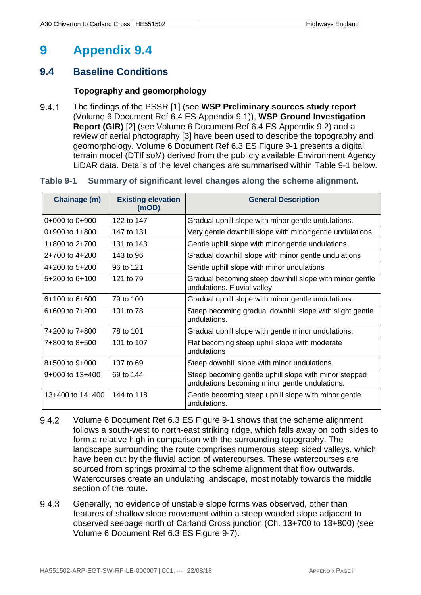# <span id="page-4-0"></span>**9 Appendix 9.4**

## <span id="page-4-1"></span>**9.4 Baseline Conditions**

#### **Topography and geomorphology**

9.4.1 The findings of the PSSR [1] (see **WSP Preliminary sources study report** (Volume 6 Document Ref 6.4 ES Appendix 9.1)), **WSP Ground Investigation Report (GIR)** [2] (see Volume 6 Document Ref 6.4 ES Appendix 9.2) and a review of aerial photography [3] have been used to describe the topography and geomorphology. Volume 6 Document Ref 6.3 ES Figure 9-1 presents a digital terrain model (DTIf soM) derived from the publicly available Environment Agency LiDAR data. Details of the level changes are summarised within [Table 9-1](#page-4-3) below.

#### <span id="page-4-3"></span><span id="page-4-2"></span>**Table 9-1 Summary of significant level changes along the scheme alignment.**

| Chainage (m)       | <b>Existing elevation</b><br>(mOD) | <b>General Description</b>                                                                              |
|--------------------|------------------------------------|---------------------------------------------------------------------------------------------------------|
| $0+000$ to $0+900$ | 122 to 147                         | Gradual uphill slope with minor gentle undulations.                                                     |
| $0+900$ to $1+800$ | 147 to 131                         | Very gentle downhill slope with minor gentle undulations.                                               |
| 1+800 to 2+700     | 131 to 143                         | Gentle uphill slope with minor gentle undulations.                                                      |
| $2+700$ to $4+200$ | 143 to 96                          | Gradual downhill slope with minor gentle undulations                                                    |
| $4+200$ to $5+200$ | 96 to 121                          | Gentle uphill slope with minor undulations                                                              |
| $5+200$ to $6+100$ | 121 to 79                          | Gradual becoming steep downhill slope with minor gentle<br>undulations. Fluvial valley                  |
| 6+100 to 6+600     | 79 to 100                          | Gradual uphill slope with minor gentle undulations.                                                     |
| 6+600 to 7+200     | 101 to 78                          | Steep becoming gradual downhill slope with slight gentle<br>undulations.                                |
| 7+200 to 7+800     | 78 to 101                          | Gradual uphill slope with gentle minor undulations.                                                     |
| 7+800 to 8+500     | 101 to 107                         | Flat becoming steep uphill slope with moderate<br>undulations                                           |
| $8+500$ to $9+000$ | 107 to 69                          | Steep downhill slope with minor undulations.                                                            |
| 9+000 to 13+400    | 69 to 144                          | Steep becoming gentle uphill slope with minor stepped<br>undulations becoming minor gentle undulations. |
| 13+400 to 14+400   | 144 to 118                         | Gentle becoming steep uphill slope with minor gentle<br>undulations.                                    |

- 9.4.2 Volume 6 Document Ref 6.3 ES Figure 9-1 shows that the scheme alignment follows a south-west to north-east striking ridge, which falls away on both sides to form a relative high in comparison with the surrounding topography. The landscape surrounding the route comprises numerous steep sided valleys, which have been cut by the fluvial action of watercourses. These watercourses are sourced from springs proximal to the scheme alignment that flow outwards. Watercourses create an undulating landscape, most notably towards the middle section of the route.
- 9.4.3 Generally, no evidence of unstable slope forms was observed, other than features of shallow slope movement within a steep wooded slope adjacent to observed seepage north of Carland Cross junction (Ch. 13+700 to 13+800) (see Volume 6 Document Ref 6.3 ES Figure 9-7).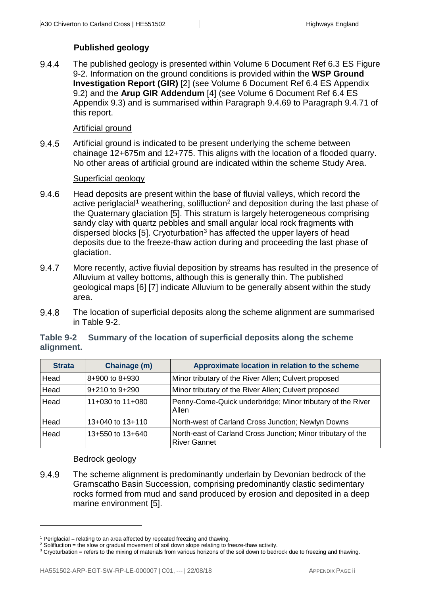#### **Published geology**

9.4.4 The published geology is presented within Volume 6 Document Ref 6.3 ES Figure 9-2. Information on the ground conditions is provided within the **WSP Ground Investigation Report (GIR)** [2] (see Volume 6 Document Ref 6.4 ES Appendix 9.2) and the **Arup GIR Addendum** [4] (see Volume 6 Document Ref 6.4 ES Appendix 9.3) and is summarised within Paragraph [9.4.69](#page-20-0) to Paragraph [9.4.71](#page-22-2) of this report.

#### Artificial ground

9.4.5 Artificial ground is indicated to be present underlying the scheme between chainage 12+675m and 12+775. This aligns with the location of a flooded quarry. No other areas of artificial ground are indicated within the scheme Study Area.

#### Superficial geology

- 9.4.6 Head deposits are present within the base of fluvial valleys, which record the active periglacial<sup>1</sup> weathering, solifluction<sup>2</sup> and deposition during the last phase of the Quaternary glaciation [5]. This stratum is largely heterogeneous comprising sandy clay with quartz pebbles and small angular local rock fragments with dispersed blocks [5]. Cryoturbation<sup>3</sup> has affected the upper layers of head deposits due to the freeze-thaw action during and proceeding the last phase of glaciation.
- 9.4.7 More recently, active fluvial deposition by streams has resulted in the presence of Alluvium at valley bottoms, although this is generally thin. The published geological maps [6] [7] indicate Alluvium to be generally absent within the study area.
- 9.4.8 The location of superficial deposits along the scheme alignment are summarised in [Table 9-2.](#page-5-1)

| <b>Strata</b> | Chainage (m)         | Approximate location in relation to the scheme                                      |
|---------------|----------------------|-------------------------------------------------------------------------------------|
| Head          | $8+900$ to $8+930$   | Minor tributary of the River Allen; Culvert proposed                                |
| Head          | $9+210$ to $9+290$   | Minor tributary of the River Allen; Culvert proposed                                |
| Head          | 11+030 to 11+080     | Penny-Come-Quick underbridge; Minor tributary of the River<br>Allen                 |
| Head          | $13+040$ to $13+110$ | North-west of Carland Cross Junction; Newlyn Downs                                  |
| Head          | 13+550 to 13+640     | North-east of Carland Cross Junction; Minor tributary of the<br><b>River Gannet</b> |

#### <span id="page-5-1"></span><span id="page-5-0"></span>**Table 9-2 Summary of the location of superficial deposits along the scheme alignment.**

#### Bedrock geology

1

9.4.9 The scheme alignment is predominantly underlain by Devonian bedrock of the Gramscatho Basin Succession, comprising predominantly clastic sedimentary rocks formed from mud and sand produced by erosion and deposited in a deep marine environment [5].

 $1$  Periglacial = relating to an area affected by repeated freezing and thawing.

<sup>&</sup>lt;sup>2</sup> Solifluction = the slow or gradual movement of soil down slope relating to freeze-thaw activity.

<sup>&</sup>lt;sup>3</sup> Cryoturbation = refers to the mixing of materials from various horizons of the soil down to bedrock due to freezing and thawing.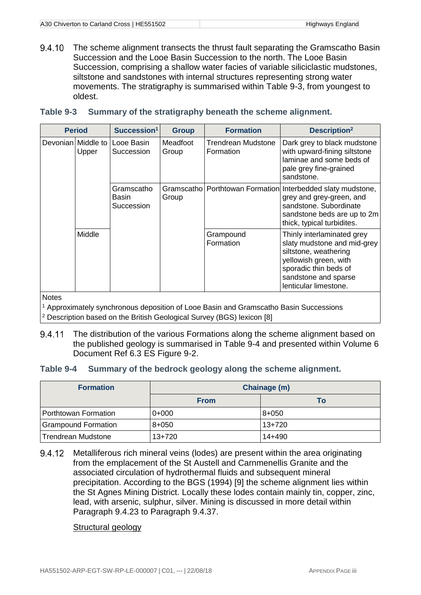9.4.10 The scheme alignment transects the thrust fault separating the Gramscatho Basin Succession and the Looe Basin Succession to the north. The Looe Basin Succession, comprising a shallow water facies of variable siliciclastic mudstones, siltstone and sandstones with internal structures representing strong water movements. The stratigraphy is summarised within [Table](#page-6-2) 9-3, from youngest to oldest.

#### <span id="page-6-2"></span><span id="page-6-0"></span>**Table 9-3 Summary of the stratigraphy beneath the scheme alignment.**

| <b>Period</b>               | Succession <sup>1</sup>           | <b>Group</b>         | <b>Formation</b>                | Description <sup>2</sup>                                                                                                                                                              |
|-----------------------------|-----------------------------------|----------------------|---------------------------------|---------------------------------------------------------------------------------------------------------------------------------------------------------------------------------------|
| Devonian Middle to<br>Upper | Looe Basin<br>Succession          | Meadfoot<br>Group    | Trendrean Mudstone<br>Formation | Dark grey to black mudstone<br>with upward-fining siltstone<br>laminae and some beds of<br>pale grey fine-grained<br>sandstone.                                                       |
|                             | Gramscatho<br>Basin<br>Succession | Gramscathol<br>Group |                                 | Porthtowan Formation Interbedded slaty mudstone,<br>grey and grey-green, and<br>sandstone, Subordinate<br>sandstone beds are up to 2m<br>thick, typical turbidites.                   |
| Middle                      |                                   |                      | Grampound<br>Formation          | Thinly interlaminated grey<br>slaty mudstone and mid-grey<br>siltstone, weathering<br>yellowish green, with<br>sporadic thin beds of<br>sandstone and sparse<br>lenticular limestone. |

**Notes** 

<sup>1</sup> Approximately synchronous deposition of Looe Basin and Gramscatho Basin Successions <sup>2</sup> Description based on the British Geological Survey (BGS) lexicon [8]

The distribution of the various Formations along the scheme alignment based on 9.4.11 the published geology is summarised in [Table 9-4](#page-6-3) and presented within Volume 6 Document Ref 6.3 ES Figure 9-2.

#### <span id="page-6-3"></span><span id="page-6-1"></span>**Table 9-4 Summary of the bedrock geology along the scheme alignment.**

| <b>Formation</b>           | Chainage (m) |           |  |
|----------------------------|--------------|-----------|--|
|                            | <b>From</b>  | To        |  |
| Porthtowan Formation       | $0+000$      | $8 + 050$ |  |
| <b>Grampound Formation</b> | $8 + 050$    | $13+720$  |  |
| <b>Trendrean Mudstone</b>  | $13+720$     | 14+490    |  |

9.4.12 Metalliferous rich mineral veins (lodes) are present within the area originating from the emplacement of the St Austell and Carnmenellis Granite and the associated circulation of hydrothermal fluids and subsequent mineral precipitation. According to the BGS (1994) [9] the scheme alignment lies within the St Agnes Mining District. Locally these lodes contain mainly tin, copper, zinc, lead, with arsenic, sulphur, silver. Mining is discussed in more detail within Paragraph [9.4.23](#page-8-0) to Paragraph [9.4.37.](#page-10-0)

#### Structural geology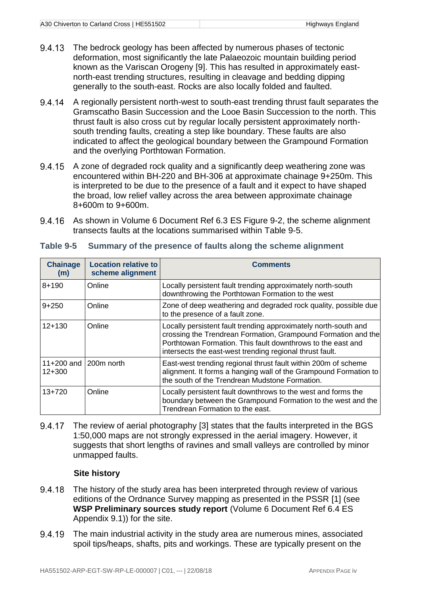- The bedrock geology has been affected by numerous phases of tectonic 9.4.13 deformation, most significantly the late Palaeozoic mountain building period known as the Variscan Orogeny [9]. This has resulted in approximately eastnorth-east trending structures, resulting in cleavage and bedding dipping generally to the south-east. Rocks are also locally folded and faulted.
- 9.4.14 A regionally persistent north-west to south-east trending thrust fault separates the Gramscatho Basin Succession and the Looe Basin Succession to the north. This thrust fault is also cross cut by regular locally persistent approximately northsouth trending faults, creating a step like boundary. These faults are also indicated to affect the geological boundary between the Grampound Formation and the overlying Porthtowan Formation.
- 9.4.15 A zone of degraded rock quality and a significantly deep weathering zone was encountered within BH-220 and BH-306 at approximate chainage 9+250m. This is interpreted to be due to the presence of a fault and it expect to have shaped the broad, low relief valley across the area between approximate chainage 8+600m to 9+600m.
- 9.4.16 As shown in Volume 6 Document Ref 6.3 ES Figure 9-2, the scheme alignment transects faults at the locations summarised within [Table 9-5.](#page-7-1)

| <b>Chainage</b><br>(m)          | <b>Location relative to</b><br>scheme alignment | Comments                                                                                                                                                                                                                                                    |
|---------------------------------|-------------------------------------------------|-------------------------------------------------------------------------------------------------------------------------------------------------------------------------------------------------------------------------------------------------------------|
| $8 + 190$                       | Online                                          | Locally persistent fault trending approximately north-south<br>downthrowing the Porthtowan Formation to the west                                                                                                                                            |
| $9+250$                         | Online                                          | Zone of deep weathering and degraded rock quality, possible due<br>to the presence of a fault zone.                                                                                                                                                         |
| $12+130$                        | Online                                          | Locally persistent fault trending approximately north-south and<br>crossing the Trendrean Formation, Grampound Formation and the<br>Porthtowan Formation. This fault downthrows to the east and<br>intersects the east-west trending regional thrust fault. |
| 11+200 and 200m north<br>12+300 |                                                 | East-west trending regional thrust fault within 200m of scheme<br>alignment. It forms a hanging wall of the Grampound Formation to<br>the south of the Trendrean Mudstone Formation.                                                                        |
| $13+720$                        | Online                                          | Locally persistent fault downthrows to the west and forms the<br>boundary between the Grampound Formation to the west and the<br>Trendrean Formation to the east.                                                                                           |

#### <span id="page-7-1"></span><span id="page-7-0"></span>**Table 9-5 Summary of the presence of faults along the scheme alignment**

9.4.17 The review of aerial photography [3] states that the faults interpreted in the BGS 1:50,000 maps are not strongly expressed in the aerial imagery. However, it suggests that short lengths of ravines and small valleys are controlled by minor unmapped faults.

#### **Site history**

- 9.4.18 The history of the study area has been interpreted through review of various editions of the Ordnance Survey mapping as presented in the PSSR [1] (see **WSP Preliminary sources study report** (Volume 6 Document Ref 6.4 ES Appendix 9.1)) for the site.
- The main industrial activity in the study area are numerous mines, associated 9.4.19 spoil tips/heaps, shafts, pits and workings. These are typically present on the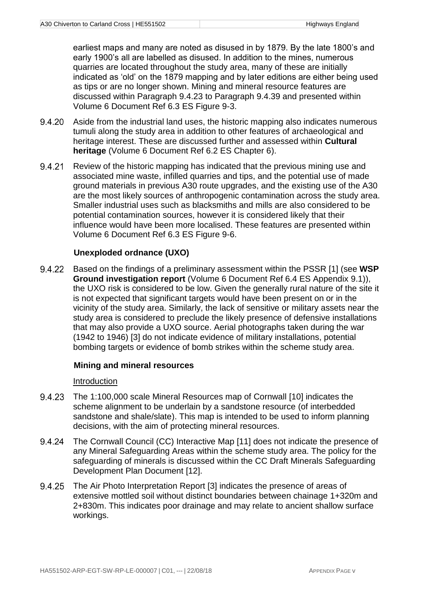earliest maps and many are noted as disused in by 1879. By the late 1800's and early 1900's all are labelled as disused. In addition to the mines, numerous quarries are located throughout the study area, many of these are initially indicated as 'old' on the 1879 mapping and by later editions are either being used as tips or are no longer shown. Mining and mineral resource features are discussed within Paragraph [9.4.23](#page-8-0) to Paragraph [9.4.39](#page-10-1) and presented within Volume 6 Document Ref 6.3 ES Figure 9-3.

- 9.4.20 Aside from the industrial land uses, the historic mapping also indicates numerous tumuli along the study area in addition to other features of archaeological and heritage interest. These are discussed further and assessed within **Cultural heritage** (Volume 6 Document Ref 6.2 ES Chapter 6).
- 9.4.21 Review of the historic mapping has indicated that the previous mining use and associated mine waste, infilled quarries and tips, and the potential use of made ground materials in previous A30 route upgrades, and the existing use of the A30 are the most likely sources of anthropogenic contamination across the study area. Smaller industrial uses such as blacksmiths and mills are also considered to be potential contamination sources, however it is considered likely that their influence would have been more localised. These features are presented within Volume 6 Document Ref 6.3 ES Figure 9-6.

#### **Unexploded ordnance (UXO)**

9.4.22 Based on the findings of a preliminary assessment within the PSSR [1] (see **WSP Ground investigation report** (Volume 6 Document Ref 6.4 ES Appendix 9.1)), the UXO risk is considered to be low. Given the generally rural nature of the site it is not expected that significant targets would have been present on or in the vicinity of the study area. Similarly, the lack of sensitive or military assets near the study area is considered to preclude the likely presence of defensive installations that may also provide a UXO source. Aerial photographs taken during the war (1942 to 1946) [3] do not indicate evidence of military installations, potential bombing targets or evidence of bomb strikes within the scheme study area.

#### **Mining and mineral resources**

#### Introduction

- <span id="page-8-0"></span>9.4.23 The 1:100,000 scale Mineral Resources map of Cornwall [10] indicates the scheme alignment to be underlain by a sandstone resource (of interbedded sandstone and shale/slate). This map is intended to be used to inform planning decisions, with the aim of protecting mineral resources.
- 9.4.24 The Cornwall Council (CC) Interactive Map [11] does not indicate the presence of any Mineral Safeguarding Areas within the scheme study area. The policy for the safeguarding of minerals is discussed within the CC Draft Minerals Safeguarding Development Plan Document [12].
- 9.4.25 The Air Photo Interpretation Report [3] indicates the presence of areas of extensive mottled soil without distinct boundaries between chainage 1+320m and 2+830m. This indicates poor drainage and may relate to ancient shallow surface workings.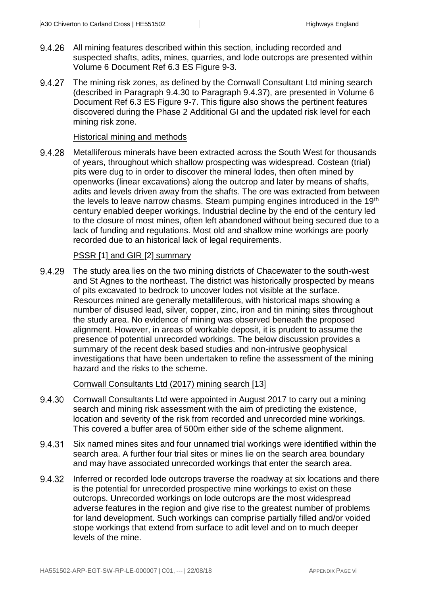- All mining features described within this section, including recorded and 9.4.26 suspected shafts, adits, mines, quarries, and lode outcrops are presented within Volume 6 Document Ref 6.3 ES Figure 9-3.
- 9.4.27 The mining risk zones, as defined by the Cornwall Consultant Ltd mining search (described in Paragraph [9.4.30](#page-9-0) to Paragraph [9.4.37\)](#page-10-0), are presented in Volume 6 Document Ref 6.3 ES Figure 9-7. This figure also shows the pertinent features discovered during the Phase 2 Additional GI and the updated risk level for each mining risk zone.

#### Historical mining and methods

9.4.28 Metalliferous minerals have been extracted across the South West for thousands of years, throughout which shallow prospecting was widespread. Costean (trial) pits were dug to in order to discover the mineral lodes, then often mined by openworks (linear excavations) along the outcrop and later by means of shafts, adits and levels driven away from the shafts. The ore was extracted from between the levels to leave narrow chasms. Steam pumping engines introduced in the 19<sup>th</sup> century enabled deeper workings. Industrial decline by the end of the century led to the closure of most mines, often left abandoned without being secured due to a lack of funding and regulations. Most old and shallow mine workings are poorly recorded due to an historical lack of legal requirements.

#### PSSR [1] and GIR [2] summary

The study area lies on the two mining districts of Chacewater to the south-west 9.4.29 and St Agnes to the northeast. The district was historically prospected by means of pits excavated to bedrock to uncover lodes not visible at the surface. Resources mined are generally metalliferous, with historical maps showing a number of disused lead, silver, copper, zinc, iron and tin mining sites throughout the study area. No evidence of mining was observed beneath the proposed alignment. However, in areas of workable deposit, it is prudent to assume the presence of potential unrecorded workings. The below discussion provides a summary of the recent desk based studies and non-intrusive geophysical investigations that have been undertaken to refine the assessment of the mining hazard and the risks to the scheme.

#### Cornwall Consultants Ltd (2017) mining search [13]

- <span id="page-9-0"></span>9.4.30 Cornwall Consultants Ltd were appointed in August 2017 to carry out a mining search and mining risk assessment with the aim of predicting the existence, location and severity of the risk from recorded and unrecorded mine workings. This covered a buffer area of 500m either side of the scheme alignment.
- 9.4.31 Six named mines sites and four unnamed trial workings were identified within the search area. A further four trial sites or mines lie on the search area boundary and may have associated unrecorded workings that enter the search area.
- 9.4.32 Inferred or recorded lode outcrops traverse the roadway at six locations and there is the potential for unrecorded prospective mine workings to exist on these outcrops. Unrecorded workings on lode outcrops are the most widespread adverse features in the region and give rise to the greatest number of problems for land development. Such workings can comprise partially filled and/or voided stope workings that extend from surface to adit level and on to much deeper levels of the mine.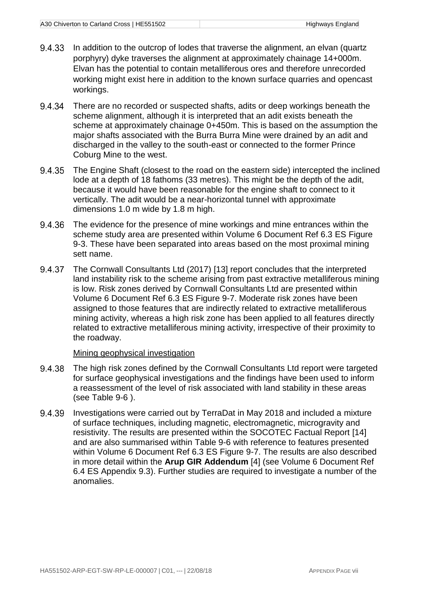- In addition to the outcrop of lodes that traverse the alignment, an elvan (quartz 9.4.33 porphyry) dyke traverses the alignment at approximately chainage 14+000m. Elvan has the potential to contain metalliferous ores and therefore unrecorded working might exist here in addition to the known surface quarries and opencast workings.
- 9.4.34 There are no recorded or suspected shafts, adits or deep workings beneath the scheme alignment, although it is interpreted that an adit exists beneath the scheme at approximately chainage 0+450m. This is based on the assumption the major shafts associated with the Burra Burra Mine were drained by an adit and discharged in the valley to the south-east or connected to the former Prince Coburg Mine to the west.
- 9.4.35 The Engine Shaft (closest to the road on the eastern side) intercepted the inclined lode at a depth of 18 fathoms (33 metres). This might be the depth of the adit, because it would have been reasonable for the engine shaft to connect to it vertically. The adit would be a near-horizontal tunnel with approximate dimensions 1.0 m wide by 1.8 m high.
- 9.4.36 The evidence for the presence of mine workings and mine entrances within the scheme study area are presented within Volume 6 Document Ref 6.3 ES Figure 9-3. These have been separated into areas based on the most proximal mining sett name.
- <span id="page-10-0"></span>9.4.37 The Cornwall Consultants Ltd (2017) [13] report concludes that the interpreted land instability risk to the scheme arising from past extractive metalliferous mining is low. Risk zones derived by Cornwall Consultants Ltd are presented within Volume 6 Document Ref 6.3 ES Figure 9-7. Moderate risk zones have been assigned to those features that are indirectly related to extractive metalliferous mining activity, whereas a high risk zone has been applied to all features directly related to extractive metalliferous mining activity, irrespective of their proximity to the roadway.

#### Mining geophysical investigation

- 9.4.38 The high risk zones defined by the Cornwall Consultants Ltd report were targeted for surface geophysical investigations and the findings have been used to inform a reassessment of the level of risk associated with land stability in these areas (see [Table 9-6](#page-11-1) ).
- <span id="page-10-1"></span>9.4.39 Investigations were carried out by TerraDat in May 2018 and included a mixture of surface techniques, including magnetic, electromagnetic, microgravity and resistivity. The results are presented within the SOCOTEC Factual Report [14] and are also summarised within [Table 9-6](#page-11-1) with reference to features presented within Volume 6 Document Ref 6.3 ES Figure 9-7. The results are also described in more detail within the **Arup GIR Addendum** [4] (see Volume 6 Document Ref 6.4 ES Appendix 9.3). Further studies are required to investigate a number of the anomalies.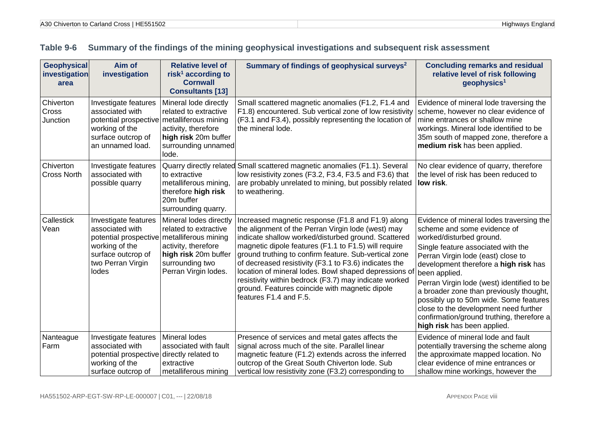<span id="page-11-1"></span><span id="page-11-0"></span>

| <b>Geophysical</b><br>investigation<br>area | Aim of<br>investigation                                                                                                                                     | <b>Relative level of</b><br>risk <sup>1</sup> according to<br><b>Cornwall</b><br><b>Consultants [13]</b>                                  | Summary of findings of geophysical surveys <sup>2</sup>                                                                                                                                                                                                                                                                                                                                                                                                                                                                                | <b>Concluding remarks and residual</b><br>relative level of risk following<br>geophysics <sup>1</sup>                                                                                                                                                                                                                                                                                                                                                                                             |
|---------------------------------------------|-------------------------------------------------------------------------------------------------------------------------------------------------------------|-------------------------------------------------------------------------------------------------------------------------------------------|----------------------------------------------------------------------------------------------------------------------------------------------------------------------------------------------------------------------------------------------------------------------------------------------------------------------------------------------------------------------------------------------------------------------------------------------------------------------------------------------------------------------------------------|---------------------------------------------------------------------------------------------------------------------------------------------------------------------------------------------------------------------------------------------------------------------------------------------------------------------------------------------------------------------------------------------------------------------------------------------------------------------------------------------------|
| Chiverton<br>Cross<br>Junction              | Investigate features<br>associated with<br>potential prospective metalliferous mining<br>working of the<br>surface outcrop of<br>an unnamed load.           | Mineral lode directly<br>related to extractive<br>activity, therefore<br>high risk 20m buffer<br>surrounding unnamed<br>lode.             | Small scattered magnetic anomalies (F1.2, F1.4 and<br>F1.8) encountered. Sub vertical zone of low resistivity<br>(F3.1 and F3.4), possibly representing the location of<br>the mineral lode.                                                                                                                                                                                                                                                                                                                                           | Evidence of mineral lode traversing the<br>scheme, however no clear evidence of<br>mine entrances or shallow mine<br>workings. Mineral lode identified to be<br>35m south of mapped zone, therefore a<br>medium risk has been applied.                                                                                                                                                                                                                                                            |
| Chiverton<br><b>Cross North</b>             | Investigate features<br>associated with<br>possible quarry                                                                                                  | to extractive<br>metalliferous mining.<br>therefore high risk<br>20m buffer<br>surrounding quarry.                                        | Quarry directly related Small scattered magnetic anomalies (F1.1). Several<br>low resistivity zones (F3.2, F3.4, F3.5 and F3.6) that<br>are probably unrelated to mining, but possibly related<br>to weathering.                                                                                                                                                                                                                                                                                                                       | No clear evidence of quarry, therefore<br>the level of risk has been reduced to<br>low risk.                                                                                                                                                                                                                                                                                                                                                                                                      |
| Callestick<br>Vean                          | Investigate features<br>associated with<br>potential prospective metalliferous mining<br>working of the<br>surface outcrop of<br>two Perran Virgin<br>lodes | Mineral lodes directly<br>related to extractive<br>activity, therefore<br>high risk 20m buffer<br>surrounding two<br>Perran Virgin lodes. | Increased magnetic response (F1.8 and F1.9) along<br>the alignment of the Perran Virgin lode (west) may<br>indicate shallow worked/disturbed ground. Scattered<br>magnetic dipole features (F1.1 to F1.5) will require<br>ground truthing to confirm feature. Sub-vertical zone<br>of decreased resistivity (F3.1 to F3.6) indicates the<br>location of mineral lodes. Bowl shaped depressions of<br>resistivity within bedrock (F3.7) may indicate worked<br>ground. Features coincide with magnetic dipole<br>features F1.4 and F.5. | Evidence of mineral lodes traversing the<br>scheme and some evidence of<br>worked/disturbed ground.<br>Single feature associated with the<br>Perran Virgin lode (east) close to<br>development therefore a high risk has<br>been applied.<br>Perran Virgin lode (west) identified to be<br>a broader zone than previously thought,<br>possibly up to 50m wide. Some features<br>close to the development need further<br>confirmation/ground truthing, therefore a<br>high risk has been applied. |
| Nanteague<br>Farm                           | Investigate features<br>associated with<br>potential prospective directly related to<br>working of the<br>surface outcrop of                                | Mineral lodes<br>associated with fault<br>extractive<br>metalliferous mining                                                              | Presence of services and metal gates affects the<br>signal across much of the site. Parallel linear<br>magnetic feature (F1.2) extends across the inferred<br>outcrop of the Great South Chiverton lode. Sub<br>vertical low resistivity zone (F3.2) corresponding to                                                                                                                                                                                                                                                                  | Evidence of mineral lode and fault<br>potentially traversing the scheme along<br>the approximate mapped location. No<br>clear evidence of mine entrances or<br>shallow mine workings, however the                                                                                                                                                                                                                                                                                                 |

## **Table 9-6 Summary of the findings of the mining geophysical investigations and subsequent risk assessment**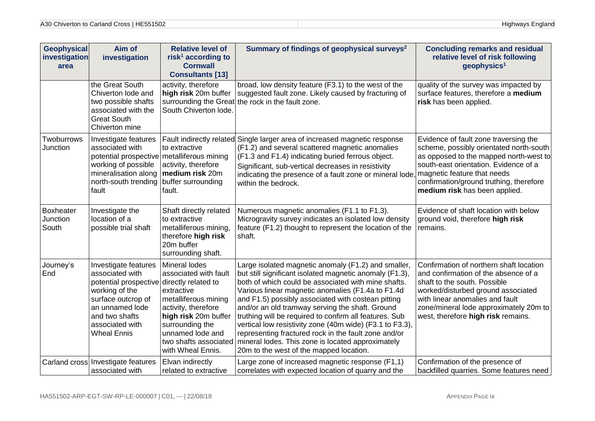| <b>Geophysical</b><br>investigation<br>area | Aim of<br>investigation                                                                                                                                                                                    | <b>Relative level of</b><br>risk <sup>1</sup> according to<br><b>Cornwall</b><br><b>Consultants [13]</b>                                                                                                         | Summary of findings of geophysical surveys <sup>2</sup>                                                                                                                                                                                                                                                                                                                                                                                                                                                                                                                                                           | <b>Concluding remarks and residual</b><br>relative level of risk following<br>geophysics <sup>1</sup>                                                                                                                                                                    |
|---------------------------------------------|------------------------------------------------------------------------------------------------------------------------------------------------------------------------------------------------------------|------------------------------------------------------------------------------------------------------------------------------------------------------------------------------------------------------------------|-------------------------------------------------------------------------------------------------------------------------------------------------------------------------------------------------------------------------------------------------------------------------------------------------------------------------------------------------------------------------------------------------------------------------------------------------------------------------------------------------------------------------------------------------------------------------------------------------------------------|--------------------------------------------------------------------------------------------------------------------------------------------------------------------------------------------------------------------------------------------------------------------------|
|                                             | the Great South<br>Chiverton lode and<br>two possible shafts<br>associated with the<br><b>Great South</b><br>Chiverton mine                                                                                | activity, therefore<br>high risk 20m buffer<br>surrounding the Great<br>South Chiverton lode.                                                                                                                    | broad, low density feature (F3.1) to the west of the<br>suggested fault zone. Likely caused by fracturing of<br>the rock in the fault zone.                                                                                                                                                                                                                                                                                                                                                                                                                                                                       | quality of the survey was impacted by<br>surface features, therefore a medium<br>risk has been applied.                                                                                                                                                                  |
| Twoburrows<br>Junction                      | Investigate features<br>associated with<br>potential prospective metalliferous mining<br>working of possible<br>mineralisation along<br>north-south trending buffer surrounding<br>fault                   | to extractive<br>activity, therefore<br>medium risk 20m<br>fault.                                                                                                                                                | Fault indirectly related Single larger area of increased magnetic response<br>(F1.2) and several scattered magnetic anomalies<br>(F1.3 and F1.4) indicating buried ferrous object.<br>Significant, sub-vertical decreases in resistivity<br>indicating the presence of a fault zone or mineral lode, magnetic feature that needs<br>within the bedrock.                                                                                                                                                                                                                                                           | Evidence of fault zone traversing the<br>scheme, possibly orientated north-south<br>as opposed to the mapped north-west to<br>south-east orientation. Evidence of a<br>confirmation/ground truthing, therefore<br>medium risk has been applied.                          |
| Boxheater<br>Junction<br>South              | Investigate the<br>location of a<br>possible trial shaft                                                                                                                                                   | Shaft directly related<br>to extractive<br>metalliferous mining,<br>therefore high risk<br>20m buffer<br>surrounding shaft.                                                                                      | Numerous magnetic anomalies (F1.1 to F1.3).<br>Microgravity survey indicates an isolated low density<br>feature (F1.2) thought to represent the location of the<br>shaft.                                                                                                                                                                                                                                                                                                                                                                                                                                         | Evidence of shaft location with below<br>ground void, therefore high risk<br>remains.                                                                                                                                                                                    |
| Journey's<br>End                            | Investigate features<br>associated with<br>potential prospective directly related to<br>working of the<br>surface outcrop of<br>an unnamed lode<br>and two shafts<br>associated with<br><b>Wheal Ennis</b> | Mineral lodes<br>associated with fault<br>extractive<br>metalliferous mining<br>activity, therefore<br>high risk 20m buffer<br>surrounding the<br>unnamed lode and<br>two shafts associated<br>with Wheal Ennis. | Large isolated magnetic anomaly (F1.2) and smaller,<br>but still significant isolated magnetic anomaly (F1.3),<br>both of which could be associated with mine shafts.<br>Various linear magnetic anomalies (F1.4a to F1.4d<br>and F1.5) possibly associated with costean pitting<br>and/or an old tramway serving the shaft. Ground<br>truthing will be required to confirm all features. Sub<br>vertical low resistivity zone (40m wide) (F3.1 to F3.3),<br>representing fractured rock in the fault zone and/or<br>mineral lodes. This zone is located approximately<br>20m to the west of the mapped location. | Confirmation of northern shaft location<br>and confirmation of the absence of a<br>shaft to the south. Possible<br>worked/disturbed ground associated<br>with linear anomalies and fault<br>zone/mineral lode approximately 20m to<br>west, therefore high risk remains. |
|                                             | Carland cross Investigate features<br>associated with                                                                                                                                                      | Elvan indirectly<br>related to extractive                                                                                                                                                                        | Large zone of increased magnetic response (F1,1)<br>correlates with expected location of quarry and the                                                                                                                                                                                                                                                                                                                                                                                                                                                                                                           | Confirmation of the presence of<br>backfilled quarries. Some features need                                                                                                                                                                                               |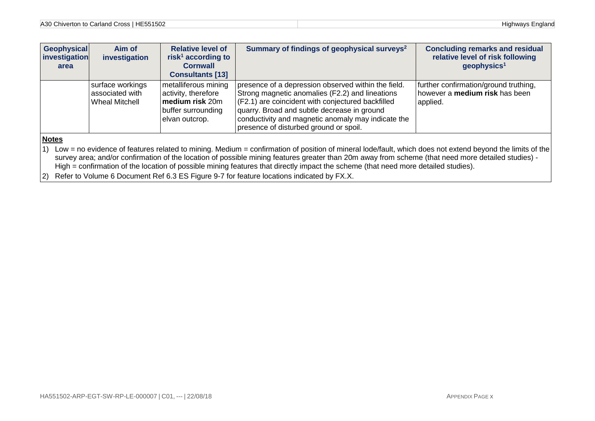| Geophysical<br>investigation<br>area | Aim of<br>investigation                                      | <b>Relative level of</b><br>risk <sup>1</sup> according to<br><b>Cornwall</b><br><b>Consultants [13]</b> | Summary of findings of geophysical surveys <sup>2</sup>                                                                                                                                                                                                                                                    | <b>Concluding remarks and residual</b><br>relative level of risk following<br>geophysics <sup>1</sup> |
|--------------------------------------|--------------------------------------------------------------|----------------------------------------------------------------------------------------------------------|------------------------------------------------------------------------------------------------------------------------------------------------------------------------------------------------------------------------------------------------------------------------------------------------------------|-------------------------------------------------------------------------------------------------------|
|                                      | surface workings<br>associated with<br><b>Wheal Mitchell</b> | metalliferous mining<br>activity, therefore<br>medium risk 20m<br>buffer surrounding<br>elvan outcrop.   | presence of a depression observed within the field.<br>Strong magnetic anomalies (F2.2) and lineations<br>(F2.1) are coincident with conjectured backfilled<br>quarry. Broad and subtle decrease in ground<br>conductivity and magnetic anomaly may indicate the<br>presence of disturbed ground or spoil. | further confirmation/ground truthing,<br>however a medium risk has been<br>applied.                   |
| <b>Notes</b>                         |                                                              |                                                                                                          |                                                                                                                                                                                                                                                                                                            |                                                                                                       |

1) Low = no evidence of features related to mining. Medium = confirmation of position of mineral lode/fault, which does not extend beyond the limits of the survey area; and/or confirmation of the location of possible mining features greater than 20m away from scheme (that need more detailed studies) - High = confirmation of the location of possible mining features that directly impact the scheme (that need more detailed studies).

2) Refer to Volume 6 Document Ref 6.3 ES Figure 9-7 for feature locations indicated by FX.X.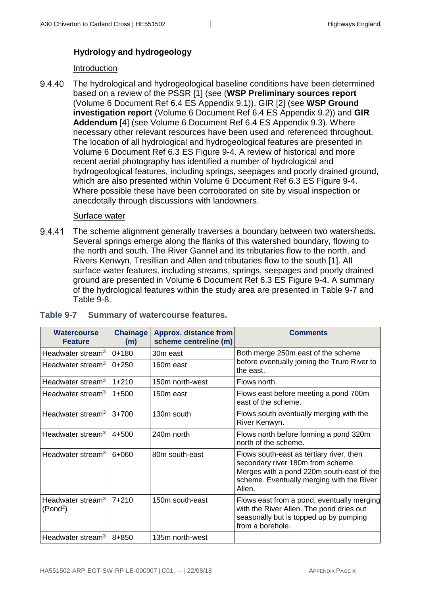### **Hydrology and hydrogeology**

#### Introduction

9.4.40 The hydrological and hydrogeological baseline conditions have been determined based on a review of the PSSR [1] (see (**WSP Preliminary sources report** (Volume 6 Document Ref 6.4 ES Appendix 9.1)), GIR [2] (see **WSP Ground investigation report** (Volume 6 Document Ref 6.4 ES Appendix 9.2)) and **GIR Addendum** [4] (see Volume 6 Document Ref 6.4 ES Appendix 9.3). Where necessary other relevant resources have been used and referenced throughout. The location of all hydrological and hydrogeological features are presented in Volume 6 Document Ref 6.3 ES Figure 9-4. A review of historical and more recent aerial photography has identified a number of hydrological and hydrogeological features, including springs, seepages and poorly drained ground, which are also presented within Volume 6 Document Ref 6.3 ES Figure 9-4. Where possible these have been corroborated on site by visual inspection or anecdotally through discussions with landowners.

#### Surface water

9.4.41 The scheme alignment generally traverses a boundary between two watersheds. Several springs emerge along the flanks of this watershed boundary, flowing to the north and south. The River Gannel and its tributaries flow to the north, and Rivers Kenwyn, Tresillian and Allen and tributaries flow to the south [1]. All surface water features, including streams, springs, seepages and poorly drained ground are presented in Volume 6 Document Ref 6.3 ES Figure 9-4. A summary of the hydrological features within the study area are presented in [Table 9-7](#page-14-1) and [Table 9-8.](#page-15-1)

| <b>Watercourse</b><br><b>Feature</b>                  | <b>Chainage</b><br>(m) | <b>Approx. distance from</b><br>scheme centreline (m) | <b>Comments</b>                                                                                                                                                                   |  |
|-------------------------------------------------------|------------------------|-------------------------------------------------------|-----------------------------------------------------------------------------------------------------------------------------------------------------------------------------------|--|
| Headwater stream <sup>3</sup>                         | $0 + 180$              | 30m east                                              | Both merge 250m east of the scheme                                                                                                                                                |  |
| Headwater stream <sup>3</sup>                         | $0+250$                | 160m east                                             | before eventually joining the Truro River to<br>the east.                                                                                                                         |  |
| Headwater stream <sup>3</sup>                         | $1 + 210$              | 150m north-west                                       | Flows north.                                                                                                                                                                      |  |
| Headwater stream <sup>3</sup>                         | $1 + 500$              | 150m east                                             | Flows east before meeting a pond 700m<br>east of the scheme.                                                                                                                      |  |
| Headwater stream <sup>3</sup>                         | $3+700$                | 130m south                                            | Flows south eventually merging with the<br>River Kenwyn.                                                                                                                          |  |
| Headwater stream <sup>3</sup>                         | $4 + 500$              | 240m north                                            | Flows north before forming a pond 320m<br>north of the scheme.                                                                                                                    |  |
| Headwater stream <sup>3</sup>                         | 6+060                  | 80m south-east                                        | Flows south-east as tertiary river, then<br>secondary river 180m from scheme.<br>Merges with a pond 220m south-east of the<br>scheme. Eventually merging with the River<br>Allen. |  |
| Headwater stream <sup>3</sup><br>(Pond <sup>2</sup> ) | $7 + 210$              | 150m south-east                                       | Flows east from a pond, eventually merging<br>with the River Allen. The pond dries out<br>seasonally but is topped up by pumping<br>from a borehole.                              |  |
| Headwater stream <sup>3</sup>                         | 8+850                  | 135m north-west                                       |                                                                                                                                                                                   |  |

#### <span id="page-14-1"></span><span id="page-14-0"></span>**Table 9-7 Summary of watercourse features.**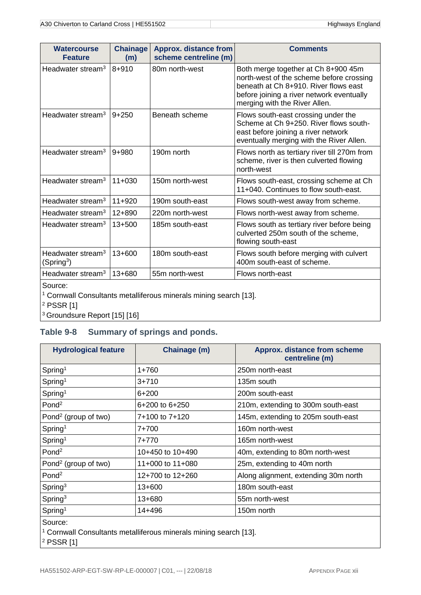| <b>Watercourse</b><br><b>Feature</b>                    | <b>Chainage</b><br>(m) | <b>Approx. distance from</b><br>scheme centreline (m) | <b>Comments</b>                                                                                                                                                                                        |
|---------------------------------------------------------|------------------------|-------------------------------------------------------|--------------------------------------------------------------------------------------------------------------------------------------------------------------------------------------------------------|
| Headwater stream <sup>3</sup>                           | $8 + 910$              | 80m north-west                                        | Both merge together at Ch 8+900 45m<br>north-west of the scheme before crossing<br>beneath at Ch 8+910. River flows east<br>before joining a river network eventually<br>merging with the River Allen. |
| Headwater stream <sup>3</sup>                           | $9 + 250$              | Beneath scheme                                        | Flows south-east crossing under the<br>Scheme at Ch 9+250. River flows south-<br>east before joining a river network<br>eventually merging with the River Allen.                                       |
| Headwater stream <sup>3</sup>                           | $9 + 980$              | 190m north                                            | Flows north as tertiary river till 270m from<br>scheme, river is then culverted flowing<br>north-west                                                                                                  |
| Headwater stream <sup>3</sup>                           | $11+030$               | 150m north-west                                       | Flows south-east, crossing scheme at Ch<br>11+040. Continues to flow south-east.                                                                                                                       |
| Headwater stream <sup>3</sup>                           | $11+920$               | 190m south-east                                       | Flows south-west away from scheme.                                                                                                                                                                     |
| Headwater stream <sup>3</sup>                           | $12 + 890$             | 220m north-west                                       | Flows north-west away from scheme.                                                                                                                                                                     |
| Headwater stream <sup>3</sup>                           | $13 + 500$             | 185m south-east                                       | Flows south as tertiary river before being<br>culverted 250m south of the scheme,<br>flowing south-east                                                                                                |
| Headwater stream <sup>3</sup><br>(Spring <sup>3</sup> ) | $13 + 600$             | 180m south-east                                       | Flows south before merging with culvert<br>400m south-east of scheme.                                                                                                                                  |
| Headwater stream <sup>3</sup>                           | 13+680                 | 55m north-west                                        | Flows north-east                                                                                                                                                                                       |

Source:

<sup>1</sup> Cornwall Consultants metalliferous minerals mining search [13].

<sup>2</sup> PSSR [1]

<sup>3</sup> Groundsure Report [15] [16]

### <span id="page-15-1"></span><span id="page-15-0"></span>**Table 9-8 Summary of springs and ponds.**

| <b>Hydrological feature</b>      | Chainage (m)                                                                 | <b>Approx. distance from scheme</b><br>centreline (m) |
|----------------------------------|------------------------------------------------------------------------------|-------------------------------------------------------|
| Spring <sup>1</sup>              | $1 + 760$                                                                    | 250m north-east                                       |
| Spring <sup>1</sup>              | $3 + 710$                                                                    | 135m south                                            |
| Spring <sup>1</sup>              | $6 + 200$                                                                    | 200m south-east                                       |
| Pond <sup>2</sup>                | 6+200 to 6+250                                                               | 210m, extending to 300m south-east                    |
| Pond <sup>2</sup> (group of two) | 7+100 to 7+120                                                               | 145m, extending to 205m south-east                    |
| Spring <sup>1</sup>              | 7+700                                                                        | 160m north-west                                       |
| Spring <sup>1</sup>              | 7+770                                                                        | 165m north-west                                       |
| Pond <sup>2</sup>                | 10+450 to 10+490                                                             | 40m, extending to 80m north-west                      |
| Pond <sup>2</sup> (group of two) | 11+000 to 11+080                                                             | 25m, extending to 40m north                           |
| Pond <sup>2</sup>                | 12+700 to 12+260                                                             | Along alignment, extending 30m north                  |
| Spring <sup>3</sup>              | $13+600$                                                                     | 180m south-east                                       |
| Spring <sup>3</sup>              | 13+680                                                                       | 55m north-west                                        |
| Spring <sup>1</sup>              | 14+496                                                                       | 150m north                                            |
| Source:                          | <sup>1</sup> Cornwall Consultants metalliferous minerals mining search [13]. |                                                       |

 $|^{2}$  PSSR [1]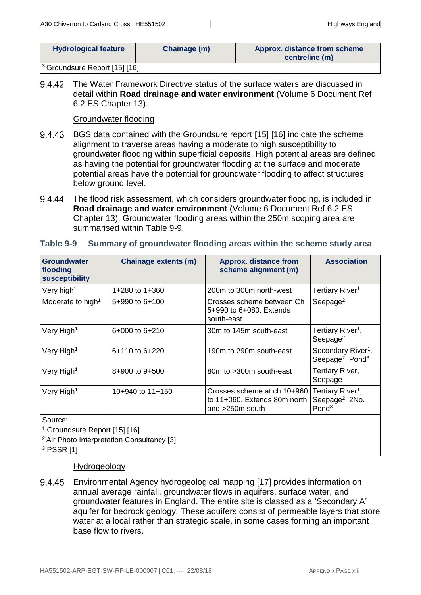| <b>Hydrological feature</b> | Chainage (m) | <b>Approx. distance from scheme</b><br>centreline (m) |
|-----------------------------|--------------|-------------------------------------------------------|
|                             |              |                                                       |

<sup>3</sup> Groundsure Report [15] [16]

9.4.42 The Water Framework Directive status of the surface waters are discussed in detail within **Road drainage and water environment** (Volume 6 Document Ref 6.2 ES Chapter 13).

Groundwater flooding

- BGS data contained with the Groundsure report [15] [16] indicate the scheme alignment to traverse areas having a moderate to high susceptibility to groundwater flooding within superficial deposits. High potential areas are defined as having the potential for groundwater flooding at the surface and moderate potential areas have the potential for groundwater flooding to affect structures below ground level.
- 9.4.44 The flood risk assessment, which considers groundwater flooding, is included in **Road drainage and water environment** (Volume 6 Document Ref 6.2 ES Chapter 13). Groundwater flooding areas within the 250m scoping area are summarised within [Table 9-9.](#page-16-1)

| <b>Groundwater</b><br>flooding<br><b>susceptibility</b> | <b>Chainage extents (m)</b>                           | <b>Approx. distance from</b><br>scheme alignment (m)                           | <b>Association</b>                                                                |
|---------------------------------------------------------|-------------------------------------------------------|--------------------------------------------------------------------------------|-----------------------------------------------------------------------------------|
| Very high <sup>1</sup>                                  | 1+280 to 1+360                                        | 200m to 300m north-west                                                        | Tertiary River <sup>1</sup>                                                       |
| Moderate to high <sup>1</sup>                           | 5+990 to 6+100                                        | Crosses scheme between Ch<br>5+990 to 6+080. Extends<br>south-east             | Seepage <sup>2</sup>                                                              |
| Very High <sup>1</sup>                                  | 6+000 to 6+210                                        | 30m to 145m south-east                                                         | Tertiary River <sup>1</sup> ,<br>Seepage <sup>2</sup>                             |
| Very High <sup>1</sup>                                  | $6+110$ to $6+220$                                    | 190m to 290m south-east                                                        | Secondary River <sup>1</sup> ,<br>Seepage <sup>2</sup> , Pond <sup>3</sup>        |
| Very High <sup>1</sup>                                  | 8+900 to 9+500                                        | 80m to >300m south-east                                                        | Tertiary River,<br>Seepage                                                        |
| Very High <sup>1</sup>                                  | 10+940 to 11+150                                      | Crosses scheme at ch 10+960<br>to 11+060. Extends 80m north<br>and >250m south | Tertiary River <sup>1</sup> ,<br>Seepage <sup>2</sup> , 2No.<br>Pond <sup>3</sup> |
| Source:<br><sup>1</sup> Groundsure Report [15] [16]     | <sup>2</sup> Air Photo Interpretation Consultancy [3] |                                                                                |                                                                                   |

#### <span id="page-16-1"></span><span id="page-16-0"></span>**Table 9-9 Summary of groundwater flooding areas within the scheme study area**

<sup>3</sup> PSSR [1]

#### Hydrogeology

9.4.45 Environmental Agency hydrogeological mapping [17] provides information on annual average rainfall, groundwater flows in aquifers, surface water, and groundwater features in England. The entire site is classed as a 'Secondary A' aquifer for bedrock geology. These aquifers consist of permeable layers that store water at a local rather than strategic scale, in some cases forming an important base flow to rivers.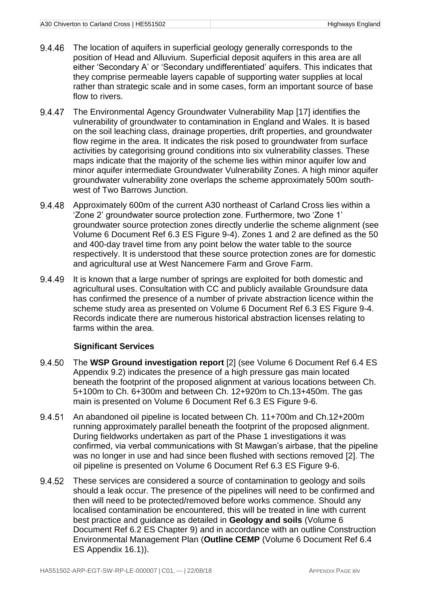- The location of aquifers in superficial geology generally corresponds to the 9.4.46 position of Head and Alluvium. Superficial deposit aquifers in this area are all either 'Secondary A' or 'Secondary undifferentiated' aquifers. This indicates that they comprise permeable layers capable of supporting water supplies at local rather than strategic scale and in some cases, form an important source of base flow to rivers.
- 9.4.47 The Environmental Agency Groundwater Vulnerability Map [17] identifies the vulnerability of groundwater to contamination in England and Wales. It is based on the soil leaching class, drainage properties, drift properties, and groundwater flow regime in the area. It indicates the risk posed to groundwater from surface activities by categorising ground conditions into six vulnerability classes. These maps indicate that the majority of the scheme lies within minor aquifer low and minor aquifer intermediate Groundwater Vulnerability Zones. A high minor aquifer groundwater vulnerability zone overlaps the scheme approximately 500m southwest of Two Barrows Junction.
- 9.4.48 Approximately 600m of the current A30 northeast of Carland Cross lies within a 'Zone 2' groundwater source protection zone. Furthermore, two 'Zone 1' groundwater source protection zones directly underlie the scheme alignment (see Volume 6 Document Ref 6.3 ES Figure 9-4). Zones 1 and 2 are defined as the 50 and 400-day travel time from any point below the water table to the source respectively. It is understood that these source protection zones are for domestic and agricultural use at West Nancemere Farm and Grove Farm.
- 9.4.49 It is known that a large number of springs are exploited for both domestic and agricultural uses. Consultation with CC and publicly available Groundsure data has confirmed the presence of a number of private abstraction licence within the scheme study area as presented on Volume 6 Document Ref 6.3 ES Figure 9-4. Records indicate there are numerous historical abstraction licenses relating to farms within the area.

#### **Significant Services**

- 9.4.50 The **WSP Ground investigation report** [2] (see Volume 6 Document Ref 6.4 ES Appendix 9.2) indicates the presence of a high pressure gas main located beneath the footprint of the proposed alignment at various locations between Ch. 5+100m to Ch. 6+300m and between Ch. 12+920m to Ch.13+450m. The gas main is presented on Volume 6 Document Ref 6.3 ES Figure 9-6.
- An abandoned oil pipeline is located between Ch. 11+700m and Ch.12+200m 9.4.51 running approximately parallel beneath the footprint of the proposed alignment. During fieldworks undertaken as part of the Phase 1 investigations it was confirmed, via verbal communications with St Mawgan's airbase, that the pipeline was no longer in use and had since been flushed with sections removed [2]. The oil pipeline is presented on Volume 6 Document Ref 6.3 ES Figure 9-6.
- 9.4.52 These services are considered a source of contamination to geology and soils should a leak occur. The presence of the pipelines will need to be confirmed and then will need to be protected/removed before works commence. Should any localised contamination be encountered, this will be treated in line with current best practice and guidance as detailed in **Geology and soils** (Volume 6 Document Ref 6.2 ES Chapter 9) and in accordance with an outline Construction Environmental Management Plan (**Outline CEMP** (Volume 6 Document Ref 6.4 ES Appendix 16.1)).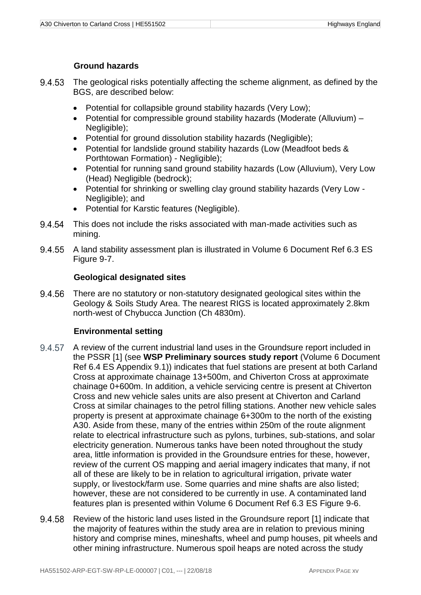#### **Ground hazards**

- 9.4.53 The geological risks potentially affecting the scheme alignment, as defined by the BGS, are described below:
	- Potential for collapsible ground stability hazards (Very Low);
	- Potential for compressible ground stability hazards (Moderate (Alluvium) Negligible);
	- Potential for ground dissolution stability hazards (Negligible);
	- Potential for landslide ground stability hazards (Low (Meadfoot beds & Porthtowan Formation) - Negligible);
	- Potential for running sand ground stability hazards (Low (Alluvium), Very Low (Head) Negligible (bedrock);
	- Potential for shrinking or swelling clay ground stability hazards (Very Low Negligible); and
	- Potential for Karstic features (Negligible).
- 9.4.54 This does not include the risks associated with man-made activities such as mining.
- 9.4.55 A land stability assessment plan is illustrated in Volume 6 Document Ref 6.3 ES Figure 9-7.

#### **Geological designated sites**

9.4.56 There are no statutory or non-statutory designated geological sites within the Geology & Soils Study Area. The nearest RIGS is located approximately 2.8km north-west of Chybucca Junction (Ch 4830m).

#### **Environmental setting**

- 9.4.57 A review of the current industrial land uses in the Groundsure report included in the PSSR [1] (see **WSP Preliminary sources study report** (Volume 6 Document Ref 6.4 ES Appendix 9.1)) indicates that fuel stations are present at both Carland Cross at approximate chainage 13+500m, and Chiverton Cross at approximate chainage 0+600m. In addition, a vehicle servicing centre is present at Chiverton Cross and new vehicle sales units are also present at Chiverton and Carland Cross at similar chainages to the petrol filling stations. Another new vehicle sales property is present at approximate chainage 6+300m to the north of the existing A30. Aside from these, many of the entries within 250m of the route alignment relate to electrical infrastructure such as pylons, turbines, sub-stations, and solar electricity generation. Numerous tanks have been noted throughout the study area, little information is provided in the Groundsure entries for these, however, review of the current OS mapping and aerial imagery indicates that many, if not all of these are likely to be in relation to agricultural irrigation, private water supply, or livestock/farm use. Some quarries and mine shafts are also listed; however, these are not considered to be currently in use. A contaminated land features plan is presented within Volume 6 Document Ref 6.3 ES Figure 9-6.
- 9.4.58 Review of the historic land uses listed in the Groundsure report [1] indicate that the majority of features within the study area are in relation to previous mining history and comprise mines, mineshafts, wheel and pump houses, pit wheels and other mining infrastructure. Numerous spoil heaps are noted across the study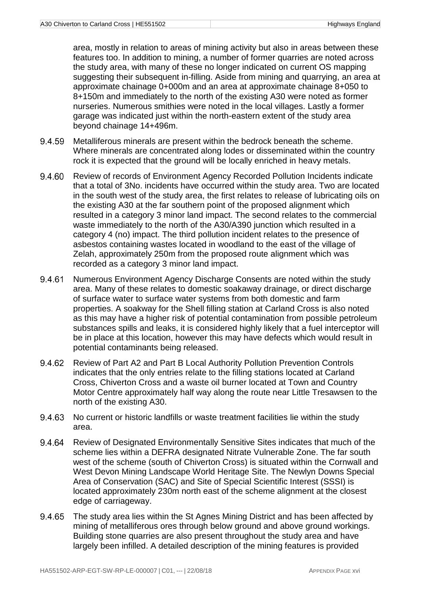area, mostly in relation to areas of mining activity but also in areas between these features too. In addition to mining, a number of former quarries are noted across the study area, with many of these no longer indicated on current OS mapping suggesting their subsequent in-filling. Aside from mining and quarrying, an area at approximate chainage 0+000m and an area at approximate chainage 8+050 to 8+150m and immediately to the north of the existing A30 were noted as former nurseries. Numerous smithies were noted in the local villages. Lastly a former garage was indicated just within the north-eastern extent of the study area beyond chainage 14+496m.

- 9.4.59 Metalliferous minerals are present within the bedrock beneath the scheme. Where minerals are concentrated along lodes or disseminated within the country rock it is expected that the ground will be locally enriched in heavy metals.
- 9.4.60 Review of records of Environment Agency Recorded Pollution Incidents indicate that a total of 3No. incidents have occurred within the study area. Two are located in the south west of the study area, the first relates to release of lubricating oils on the existing A30 at the far southern point of the proposed alignment which resulted in a category 3 minor land impact. The second relates to the commercial waste immediately to the north of the A30/A390 junction which resulted in a category 4 (no) impact. The third pollution incident relates to the presence of asbestos containing wastes located in woodland to the east of the village of Zelah, approximately 250m from the proposed route alignment which was recorded as a category 3 minor land impact.
- 9.4.61 Numerous Environment Agency Discharge Consents are noted within the study area. Many of these relates to domestic soakaway drainage, or direct discharge of surface water to surface water systems from both domestic and farm properties. A soakway for the Shell filling station at Carland Cross is also noted as this may have a higher risk of potential contamination from possible petroleum substances spills and leaks, it is considered highly likely that a fuel interceptor will be in place at this location, however this may have defects which would result in potential contaminants being released.
- 9.4.62 Review of Part A2 and Part B Local Authority Pollution Prevention Controls indicates that the only entries relate to the filling stations located at Carland Cross, Chiverton Cross and a waste oil burner located at Town and Country Motor Centre approximately half way along the route near Little Tresawsen to the north of the existing A30.
- No current or historic landfills or waste treatment facilities lie within the study 9.4.63 area.
- 9.4.64 Review of Designated Environmentally Sensitive Sites indicates that much of the scheme lies within a DEFRA designated Nitrate Vulnerable Zone. The far south west of the scheme (south of Chiverton Cross) is situated within the Cornwall and West Devon Mining Landscape World Heritage Site. The Newlyn Downs Special Area of Conservation (SAC) and Site of Special Scientific Interest (SSSI) is located approximately 230m north east of the scheme alignment at the closest edge of carriageway.
- The study area lies within the St Agnes Mining District and has been affected by 9.4.65 mining of metalliferous ores through below ground and above ground workings. Building stone quarries are also present throughout the study area and have largely been infilled. A detailed description of the mining features is provided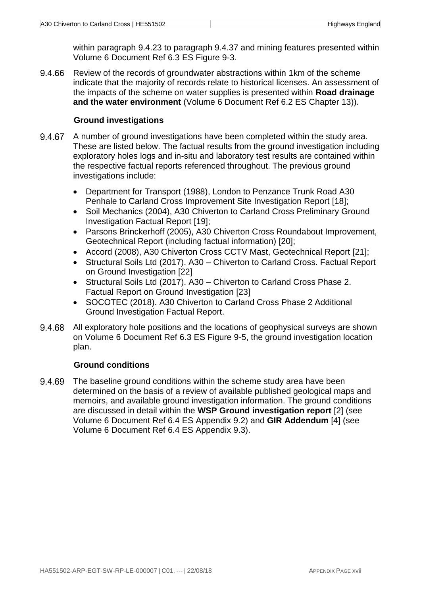within paragraph [9.4.23](#page-8-0) to paragraph [9.4.37](#page-10-0) and mining features presented within Volume 6 Document Ref 6.3 ES Figure 9-3.

9.4.66 Review of the records of groundwater abstractions within 1km of the scheme indicate that the majority of records relate to historical licenses. An assessment of the impacts of the scheme on water supplies is presented within **Road drainage and the water environment** (Volume 6 Document Ref 6.2 ES Chapter 13)).

#### **Ground investigations**

- 9.4.67 A number of ground investigations have been completed within the study area. These are listed below. The factual results from the ground investigation including exploratory holes logs and in-situ and laboratory test results are contained within the respective factual reports referenced throughout. The previous ground investigations include:
	- Department for Transport (1988), London to Penzance Trunk Road A30 Penhale to Carland Cross Improvement Site Investigation Report [18];
	- Soil Mechanics (2004), A30 Chiverton to Carland Cross Preliminary Ground Investigation Factual Report [19];
	- Parsons Brinckerhoff (2005), A30 Chiverton Cross Roundabout Improvement, Geotechnical Report (including factual information) [20];
	- Accord (2008), A30 Chiverton Cross CCTV Mast, Geotechnical Report [21];
	- Structural Soils Ltd (2017). A30 Chiverton to Carland Cross. Factual Report on Ground Investigation [22]
	- Structural Soils Ltd (2017). A30 Chiverton to Carland Cross Phase 2. Factual Report on Ground Investigation [23]
	- SOCOTEC (2018). A30 Chiverton to Carland Cross Phase 2 Additional Ground Investigation Factual Report.
- All exploratory hole positions and the locations of geophysical surveys are shown 9.4.68 on Volume 6 Document Ref 6.3 ES Figure 9-5, the ground investigation location plan.

#### **Ground conditions**

<span id="page-20-0"></span>9.4.69 The baseline ground conditions within the scheme study area have been determined on the basis of a review of available published geological maps and memoirs, and available ground investigation information. The ground conditions are discussed in detail within the **WSP Ground investigation report** [2] (see Volume 6 Document Ref 6.4 ES Appendix 9.2) and **GIR Addendum** [4] (see Volume 6 Document Ref 6.4 ES Appendix 9.3).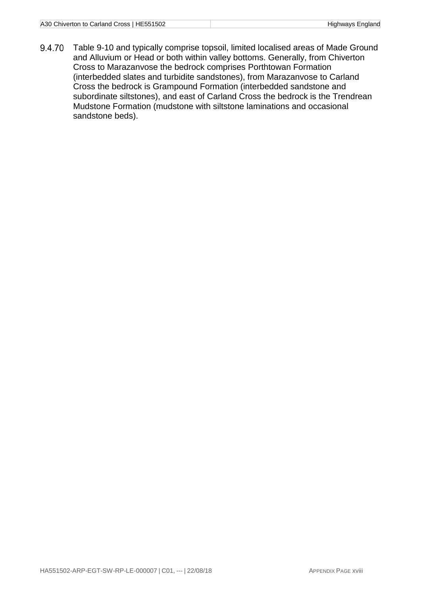<span id="page-21-0"></span>9.4.70 [Table 9-10](#page-21-0) and typically comprise topsoil, limited localised areas of Made Ground and Alluvium or Head or both within valley bottoms. Generally, from Chiverton Cross to Marazanvose the bedrock comprises Porthtowan Formation (interbedded slates and turbidite sandstones), from Marazanvose to Carland Cross the bedrock is Grampound Formation (interbedded sandstone and subordinate siltstones), and east of Carland Cross the bedrock is the Trendrean Mudstone Formation (mudstone with siltstone laminations and occasional sandstone beds).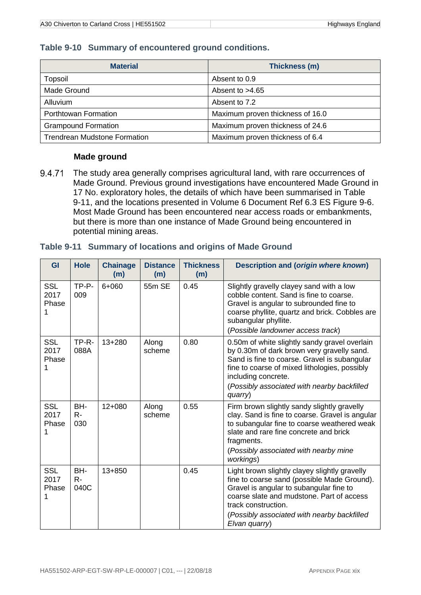#### <span id="page-22-0"></span>**Table 9-10 Summary of encountered ground conditions.**

| <b>Material</b>                     | Thickness (m)                    |
|-------------------------------------|----------------------------------|
| Topsoil                             | Absent to 0.9                    |
| Made Ground                         | Absent to $>4.65$                |
| <b>Alluvium</b>                     | Absent to 7.2                    |
| Porthtowan Formation                | Maximum proven thickness of 16.0 |
| <b>Grampound Formation</b>          | Maximum proven thickness of 24.6 |
| <b>Trendrean Mudstone Formation</b> | Maximum proven thickness of 6.4  |

#### **Made ground**

<span id="page-22-2"></span>9.4.71 The study area generally comprises agricultural land, with rare occurrences of Made Ground. Previous ground investigations have encountered Made Ground in 17 No. exploratory holes, the details of which have been summarised in [Table](#page-22-3)  [9-11,](#page-22-3) and the locations presented in Volume 6 Document Ref 6.3 ES Figure 9-6. Most Made Ground has been encountered near access roads or embankments, but there is more than one instance of Made Ground being encountered in potential mining areas.

#### <span id="page-22-3"></span><span id="page-22-1"></span>**Table 9-11 Summary of locations and origins of Made Ground**

| GI                               | <b>Hole</b>          | <b>Chainage</b><br>(m) | <b>Distance</b><br>(m) | <b>Thickness</b><br>(m) | <b>Description and (origin where known)</b>                                                                                                                                                                                                                                   |
|----------------------------------|----------------------|------------------------|------------------------|-------------------------|-------------------------------------------------------------------------------------------------------------------------------------------------------------------------------------------------------------------------------------------------------------------------------|
| <b>SSL</b><br>2017<br>Phase<br>1 | TP-P-<br>009         | 6+060                  | 55m SE                 | 0.45                    | Slightly gravelly clayey sand with a low<br>cobble content. Sand is fine to coarse.<br>Gravel is angular to subrounded fine to<br>coarse phyllite, quartz and brick. Cobbles are<br>subangular phyllite.<br>(Possible landowner access track)                                 |
| <b>SSL</b><br>2017<br>Phase      | TP-R-<br>088A        | 13+280                 | Along<br>scheme        | 0.80                    | 0.50m of white slightly sandy gravel overlain<br>by 0.30m of dark brown very gravelly sand.<br>Sand is fine to coarse. Gravel is subangular<br>fine to coarse of mixed lithologies, possibly<br>including concrete.<br>(Possibly associated with nearby backfilled<br>quarry) |
| <b>SSL</b><br>2017<br>Phase<br>1 | BH-<br>$R -$<br>030  | $12 + 080$             | Along<br>scheme        | 0.55                    | Firm brown slightly sandy slightly gravelly<br>clay. Sand is fine to coarse. Gravel is angular<br>to subangular fine to coarse weathered weak<br>slate and rare fine concrete and brick<br>fragments.<br>(Possibly associated with nearby mine<br>workings)                   |
| <b>SSL</b><br>2017<br>Phase<br>1 | BH-<br>$R -$<br>040C | $13 + 850$             |                        | 0.45                    | Light brown slightly clayey slightly gravelly<br>fine to coarse sand (possible Made Ground).<br>Gravel is angular to subangular fine to<br>coarse slate and mudstone. Part of access<br>track construction.<br>(Possibly associated with nearby backfilled<br>Elvan quarry)   |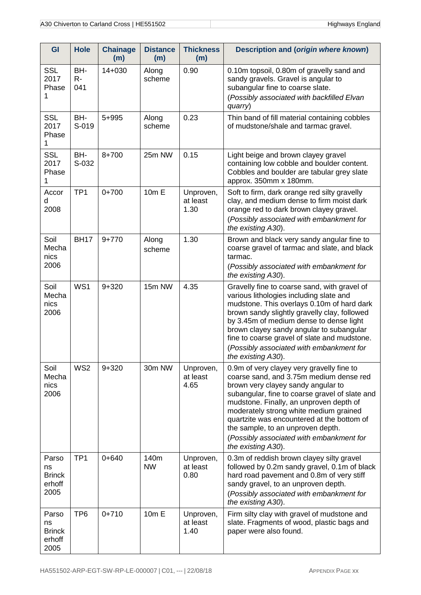| GI                                             | <b>Hole</b>         | <b>Chainage</b><br>(m) | <b>Distance</b><br>(m) | <b>Thickness</b><br>(m)       | <b>Description and (origin where known)</b>                                                                                                                                                                                                                                                                                                                                                                            |
|------------------------------------------------|---------------------|------------------------|------------------------|-------------------------------|------------------------------------------------------------------------------------------------------------------------------------------------------------------------------------------------------------------------------------------------------------------------------------------------------------------------------------------------------------------------------------------------------------------------|
| <b>SSL</b><br>2017<br>Phase<br>1               | BH-<br>$R -$<br>041 | $14 + 030$             | Along<br>scheme        | 0.90                          | 0.10m topsoil, 0.80m of gravelly sand and<br>sandy gravels. Gravel is angular to<br>subangular fine to coarse slate.<br>(Possibly associated with backfilled Elvan<br>quarry)                                                                                                                                                                                                                                          |
| <b>SSL</b><br>2017<br>Phase<br>1               | BH-<br>S-019        | 5+995                  | Along<br>scheme        | 0.23                          | Thin band of fill material containing cobbles<br>of mudstone/shale and tarmac gravel.                                                                                                                                                                                                                                                                                                                                  |
| <b>SSL</b><br>2017<br>Phase<br>1               | BH-<br>S-032        | 8+700                  | 25m NW                 | 0.15                          | Light beige and brown clayey gravel<br>containing low cobble and boulder content.<br>Cobbles and boulder are tabular grey slate<br>approx. 350mm x 180mm.                                                                                                                                                                                                                                                              |
| Accor<br>d<br>2008                             | TP <sub>1</sub>     | $0 + 700$              | 10m E                  | Unproven,<br>at least<br>1.30 | Soft to firm, dark orange red silty gravelly<br>clay, and medium dense to firm moist dark<br>orange red to dark brown clayey gravel.<br>(Possibly associated with embankment for<br>the existing A30).                                                                                                                                                                                                                 |
| Soil<br>Mecha<br>nics<br>2006                  | <b>BH17</b>         | $9 + 770$              | Along<br>scheme        | 1.30                          | Brown and black very sandy angular fine to<br>coarse gravel of tarmac and slate, and black<br>tarmac.<br>(Possibly associated with embankment for<br>the existing A30).                                                                                                                                                                                                                                                |
| Soil<br>Mecha<br>nics<br>2006                  | WS1                 | $9 + 320$              | 15m NW                 | 4.35                          | Gravelly fine to coarse sand, with gravel of<br>various lithologies including slate and<br>mudstone. This overlays 0.10m of hard dark<br>brown sandy slightly gravelly clay, followed<br>by 3.45m of medium dense to dense light<br>brown clayey sandy angular to subangular<br>fine to coarse gravel of slate and mudstone.<br>(Possibly associated with embankment for<br>the existing A30).                         |
| Soil<br>Mecha<br>nics<br>2006                  | WS <sub>2</sub>     | $9 + 320$              | 30m NW                 | Unproven,<br>at least<br>4.65 | 0.9m of very clayey very gravelly fine to<br>coarse sand, and 3.75m medium dense red<br>brown very clayey sandy angular to<br>subangular, fine to coarse gravel of slate and<br>mudstone. Finally, an unproven depth of<br>moderately strong white medium grained<br>quartzite was encountered at the bottom of<br>the sample, to an unproven depth.<br>(Possibly associated with embankment for<br>the existing A30). |
| Parso<br>ns<br><b>Brinck</b><br>erhoff<br>2005 | TP <sub>1</sub>     | $0 + 640$              | 140m<br><b>NW</b>      | Unproven,<br>at least<br>0.80 | 0.3m of reddish brown clayey silty gravel<br>followed by 0.2m sandy gravel, 0.1m of black<br>hard road pavement and 0.8m of very stiff<br>sandy gravel, to an unproven depth.<br>(Possibly associated with embankment for<br>the existing A30).                                                                                                                                                                        |
| Parso<br>ns<br><b>Brinck</b><br>erhoff<br>2005 | TP <sub>6</sub>     | $0 + 710$              | 10m E                  | Unproven,<br>at least<br>1.40 | Firm silty clay with gravel of mudstone and<br>slate. Fragments of wood, plastic bags and<br>paper were also found.                                                                                                                                                                                                                                                                                                    |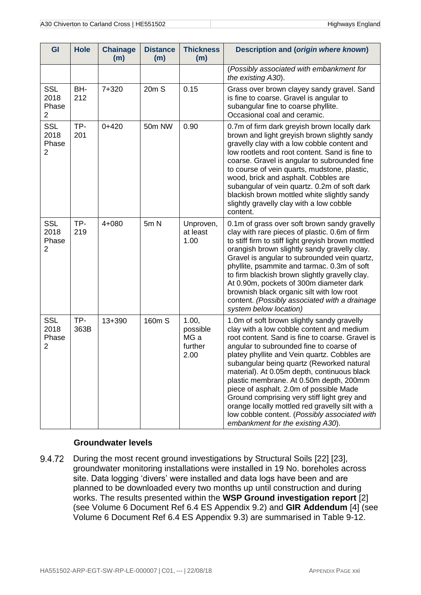| GI                                            | <b>Hole</b> | <b>Chainage</b><br>(m) | <b>Distance</b><br>(m) | <b>Thickness</b><br>(m)                      | <b>Description and (origin where known)</b>                                                                                                                                                                                                                                                                                                                                                                                                                                                                                                                                                                     |
|-----------------------------------------------|-------------|------------------------|------------------------|----------------------------------------------|-----------------------------------------------------------------------------------------------------------------------------------------------------------------------------------------------------------------------------------------------------------------------------------------------------------------------------------------------------------------------------------------------------------------------------------------------------------------------------------------------------------------------------------------------------------------------------------------------------------------|
|                                               |             |                        |                        |                                              | (Possibly associated with embankment for<br>the existing A30).                                                                                                                                                                                                                                                                                                                                                                                                                                                                                                                                                  |
| <b>SSL</b><br>2018<br>Phase<br>$\overline{2}$ | BH-<br>212  | 7+320                  | 20m S                  | 0.15                                         | Grass over brown clayey sandy gravel. Sand<br>is fine to coarse. Gravel is angular to<br>subangular fine to coarse phyllite.<br>Occasional coal and ceramic.                                                                                                                                                                                                                                                                                                                                                                                                                                                    |
| <b>SSL</b><br>2018<br>Phase<br>$\overline{2}$ | TP-<br>201  | $0 + 420$              | 50m NW                 | 0.90                                         | 0.7m of firm dark greyish brown locally dark<br>brown and light greyish brown slightly sandy<br>gravelly clay with a low cobble content and<br>low rootlets and root content. Sand is fine to<br>coarse. Gravel is angular to subrounded fine<br>to course of vein quarts, mudstone, plastic,<br>wood, brick and asphalt. Cobbles are<br>subangular of vein quartz. 0.2m of soft dark<br>blackish brown mottled white slightly sandy<br>slightly gravelly clay with a low cobble<br>content.                                                                                                                    |
| <b>SSL</b><br>2018<br>Phase<br>2              | TP-<br>219  | 4+080                  | 5mN                    | Unproven,<br>at least<br>1.00                | 0.1m of grass over soft brown sandy gravelly<br>clay with rare pieces of plastic. 0.6m of firm<br>to stiff firm to stiff light greyish brown mottled<br>orangish brown slightly sandy gravelly clay.<br>Gravel is angular to subrounded vein quartz,<br>phyllite, psammite and tarmac. 0.3m of soft<br>to firm blackish brown slightly gravelly clay.<br>At 0.90m, pockets of 300m diameter dark<br>brownish black organic silt with low root<br>content. (Possibly associated with a drainage<br>system below location)                                                                                        |
| <b>SSL</b><br>2018<br>Phase<br>2              | TP-<br>363B | $13 + 390$             | 160m S                 | 1.00,<br>possible<br>MG a<br>further<br>2.00 | 1.0m of soft brown slightly sandy gravelly<br>clay with a low cobble content and medium<br>root content. Sand is fine to coarse. Gravel is<br>angular to subrounded fine to coarse of<br>platey phyllite and Vein quartz. Cobbles are<br>subangular being quartz (Reworked natural<br>material). At 0.05m depth, continuous black<br>plastic membrane. At 0.50m depth, 200mm<br>piece of asphalt. 2.0m of possible Made<br>Ground comprising very stiff light grey and<br>orange locally mottled red gravelly silt with a<br>low cobble content. (Possibly associated with<br>embankment for the existing A30). |

#### **Groundwater levels**

9.4.72 During the most recent ground investigations by Structural Soils [22] [23], groundwater monitoring installations were installed in 19 No. boreholes across site. Data logging 'divers' were installed and data logs have been and are planned to be downloaded every two months up until construction and during works. The results presented within the **WSP Ground investigation report** [2] (see Volume 6 Document Ref 6.4 ES Appendix 9.2) and **GIR Addendum** [4] (see Volume 6 Document Ref 6.4 ES Appendix 9.3) are summarised in [Table 9-12.](#page-25-1)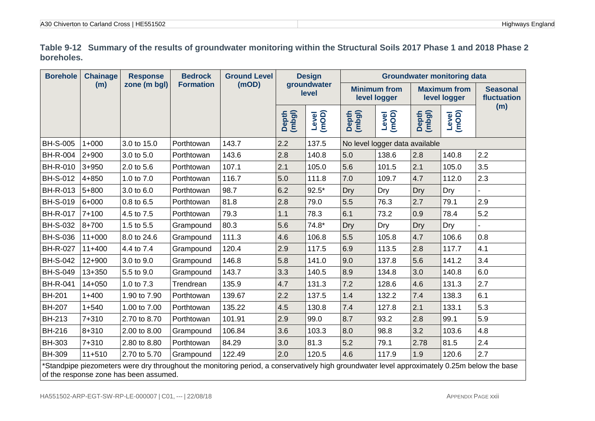| <b>A30 Chiverton to Carland Cross L.</b> | -naland  |
|------------------------------------------|----------|
| HE551502                                 | Highwayn |

**Table 9-12 Summary of the results of groundwater monitoring within the Structural Soils 2017 Phase 1 and 2018 Phase 2 boreholes.**

<span id="page-25-1"></span><span id="page-25-0"></span>

| <b>Borehole</b>                                                                                                                              | <b>Chainage</b> | <b>Response</b> | <b>Bedrock</b>   | <b>Ground Level</b> |                 | <b>Design</b>        |                                     |                                | <b>Groundwater monitoring data</b>  |                |                                |
|----------------------------------------------------------------------------------------------------------------------------------------------|-----------------|-----------------|------------------|---------------------|-----------------|----------------------|-------------------------------------|--------------------------------|-------------------------------------|----------------|--------------------------------|
|                                                                                                                                              | (m)             | zone (m bgl)    | <b>Formation</b> | (mOD)               |                 | groundwater<br>level | <b>Minimum from</b><br>level logger |                                | <b>Maximum from</b><br>level logger |                | <b>Seasonal</b><br>fluctuation |
|                                                                                                                                              |                 |                 |                  |                     | Depth<br>(mbgl) | Level<br>(mOD)       | Depth<br>(mbgl)                     | (mon)                          | Depth<br>(mbgl)                     | Level<br>(mOD) | (m)                            |
| <b>BH-S-005</b>                                                                                                                              | $1+000$         | 3.0 to 15.0     | Porthtowan       | 143.7               | 2.2             | 137.5                |                                     | No level logger data available |                                     |                |                                |
| <b>BH-R-004</b>                                                                                                                              | $2 + 900$       | 3.0 to 5.0      | Porthtowan       | 143.6               | 2.8             | 140.8                | 5.0                                 | 138.6                          | 2.8                                 | 140.8          | 2.2                            |
| <b>BH-R-010</b>                                                                                                                              | $3 + 950$       | 2.0 to 5.6      | Porthtowan       | 107.1               | 2.1             | 105.0                | 5.6                                 | 101.5                          | 2.1                                 | 105.0          | 3.5                            |
| <b>BH-S-012</b>                                                                                                                              | $4 + 850$       | 1.0 to 7.0      | Porthtowan       | 116.7               | 5.0             | 111.8                | 7.0                                 | 109.7                          | 4.7                                 | 112.0          | 2.3                            |
| <b>BH-R-013</b>                                                                                                                              | 5+800           | 3.0 to 6.0      | Porthtowan       | 98.7                | 6.2             | $92.5*$              | Dry                                 | Dry                            | Dry                                 | Dry            |                                |
| <b>BH-S-019</b>                                                                                                                              | $6 + 000$       | 0.8 to 6.5      | Porthtowan       | 81.8                | 2.8             | 79.0                 | 5.5                                 | 76.3                           | 2.7                                 | 79.1           | 2.9                            |
| <b>BH-R-017</b>                                                                                                                              | $7 + 100$       | 4.5 to 7.5      | Porthtowan       | 79.3                | 1.1             | 78.3                 | 6.1                                 | 73.2                           | 0.9                                 | 78.4           | 5.2                            |
| <b>BH-S-032</b>                                                                                                                              | $8 + 700$       | 1.5 to 5.5      | Grampound        | 80.3                | 5.6             | $74.8*$              | Dry                                 | Dry                            | Dry                                 | Dry            |                                |
| <b>BH-S-036</b>                                                                                                                              | $11+000$        | 8.0 to 24.6     | Grampound        | 111.3               | 4.6             | 106.8                | 5.5                                 | 105.8                          | 4.7                                 | 106.6          | 0.8                            |
| <b>BH-R-027</b>                                                                                                                              | $11+400$        | 4.4 to 7.4      | Grampound        | 120.4               | 2.9             | 117.5                | 6.9                                 | 113.5                          | 2.8                                 | 117.7          | 4.1                            |
| <b>BH-S-042</b>                                                                                                                              | $12 + 900$      | 3.0 to 9.0      | Grampound        | 146.8               | 5.8             | 141.0                | 9.0                                 | 137.8                          | 5.6                                 | 141.2          | 3.4                            |
| <b>BH-S-049</b>                                                                                                                              | 13+350          | 5.5 to 9.0      | Grampound        | 143.7               | 3.3             | 140.5                | 8.9                                 | 134.8                          | 3.0                                 | 140.8          | 6.0                            |
| <b>BH-R-041</b>                                                                                                                              | $14 + 050$      | 1.0 to 7.3      | Trendrean        | 135.9               | 4.7             | 131.3                | 7.2                                 | 128.6                          | 4.6                                 | 131.3          | 2.7                            |
| <b>BH-201</b>                                                                                                                                | $1 + 400$       | 1.90 to 7.90    | Porthtowan       | 139.67              | 2.2             | 137.5                | 1.4                                 | 132.2                          | 7.4                                 | 138.3          | 6.1                            |
| <b>BH-207</b>                                                                                                                                | $1 + 540$       | 1.00 to 7.00    | Porthtowan       | 135.22              | 4.5             | 130.8                | 7.4                                 | 127.8                          | 2.1                                 | 133.1          | 5.3                            |
| <b>BH-213</b>                                                                                                                                | 7+310           | 2.70 to 8.70    | Porthtowan       | 101.91              | 2.9             | 99.0                 | 8.7                                 | 93.2                           | 2.8                                 | 99.1           | 5.9                            |
| <b>BH-216</b>                                                                                                                                | $8 + 310$       | 2.00 to 8.00    | Grampound        | 106.84              | 3.6             | 103.3                | 8.0                                 | 98.8                           | 3.2                                 | 103.6          | 4.8                            |
| <b>BH-303</b>                                                                                                                                | $7 + 310$       | 2.80 to 8.80    | Porthtowan       | 84.29               | 3.0             | 81.3                 | 5.2                                 | 79.1                           | 2.78                                | 81.5           | 2.4                            |
| <b>BH-309</b>                                                                                                                                | $11+510$        | 2.70 to 5.70    | Grampound        | 122.49              | 2.0             | 120.5                | 4.6                                 | 117.9                          | 1.9                                 | 120.6          | 2.7                            |
| *Standpipe piezometers were dry throughout the monitoring period, a conservatively high groundwater level approximately 0.25m below the base |                 |                 |                  |                     |                 |                      |                                     |                                |                                     |                |                                |

of the response zone has been assumed.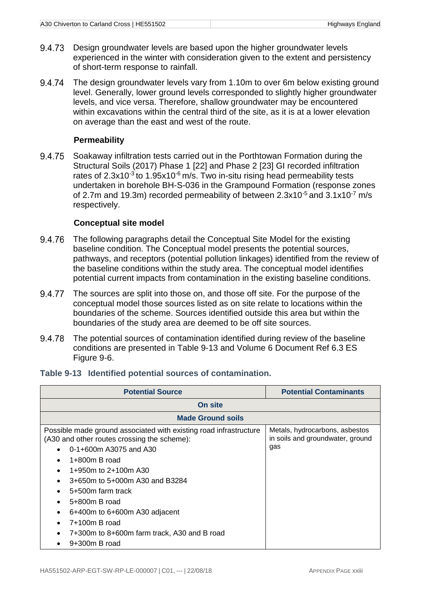- 9.4.73 Design groundwater levels are based upon the higher groundwater levels experienced in the winter with consideration given to the extent and persistency of short-term response to rainfall.
- 9.4.74 The design groundwater levels vary from 1.10m to over 6m below existing ground level. Generally, lower ground levels corresponded to slightly higher groundwater levels, and vice versa. Therefore, shallow groundwater may be encountered within excavations within the central third of the site, as it is at a lower elevation on average than the east and west of the route.

#### **Permeability**

9.4.75 Soakaway infiltration tests carried out in the Porthtowan Formation during the Structural Soils (2017) Phase 1 [22] and Phase 2 [23] GI recorded infiltration rates of  $2.3x10^{-3}$  to  $1.95x10^{-6}$  m/s. Two in-situ rising head permeability tests undertaken in borehole BH-S-036 in the Grampound Formation (response zones of 2.7m and 19.3m) recorded permeability of between 2.3x10<sup>-5</sup> and 3.1x10<sup>-7</sup> m/s respectively.

#### **Conceptual site model**

- The following paragraphs detail the Conceptual Site Model for the existing 9.4.76 baseline condition. The Conceptual model presents the potential sources, pathways, and receptors (potential pollution linkages) identified from the review of the baseline conditions within the study area. The conceptual model identifies potential current impacts from contamination in the existing baseline conditions.
- 9.4.77 The sources are split into those on, and those off site. For the purpose of the conceptual model those sources listed as on site relate to locations within the boundaries of the scheme. Sources identified outside this area but within the boundaries of the study area are deemed to be off site sources.
- 9.4.78 The potential sources of contamination identified during review of the baseline conditions are presented in [Table 9-13](#page-26-1) and Volume 6 Document Ref 6.3 ES Figure 9-6.

| <b>Potential Source</b>                                                                                                                                                                                                                                                                                                                                                                               | <b>Potential Contaminants</b>                                             |
|-------------------------------------------------------------------------------------------------------------------------------------------------------------------------------------------------------------------------------------------------------------------------------------------------------------------------------------------------------------------------------------------------------|---------------------------------------------------------------------------|
| On site                                                                                                                                                                                                                                                                                                                                                                                               |                                                                           |
| <b>Made Ground soils</b>                                                                                                                                                                                                                                                                                                                                                                              |                                                                           |
| Possible made ground associated with existing road infrastructure<br>(A30 and other routes crossing the scheme):<br>0-1+600m A3075 and A30<br>$\bullet$<br>$1+800m$ B road<br>1+950m to 2+100m A30<br>3+650m to 5+000m A30 and B3284<br>$\bullet$<br>5+500m farm track<br>$\bullet$<br>5+800m B road<br>6+400m to 6+600m A30 adjacent<br>7+100m B road<br>7+300m to 8+600m farm track, A30 and B road | Metals, hydrocarbons, asbestos<br>in soils and groundwater, ground<br>gas |

<span id="page-26-1"></span><span id="page-26-0"></span>

|  |  |  |  |  | Table 9-13 Identified potential sources of contamination. |
|--|--|--|--|--|-----------------------------------------------------------|
|--|--|--|--|--|-----------------------------------------------------------|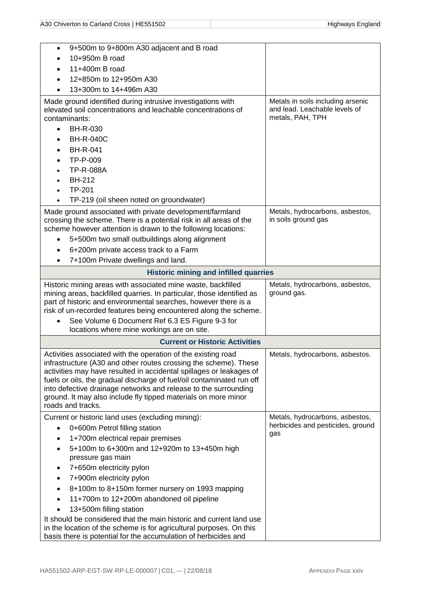| 9+500m to 9+800m A30 adjacent and B road<br>$\bullet$                                                                                                                                                                                                                                                                                                                                                                                       |                                                        |
|---------------------------------------------------------------------------------------------------------------------------------------------------------------------------------------------------------------------------------------------------------------------------------------------------------------------------------------------------------------------------------------------------------------------------------------------|--------------------------------------------------------|
| 10+950m B road                                                                                                                                                                                                                                                                                                                                                                                                                              |                                                        |
| 11+400m B road                                                                                                                                                                                                                                                                                                                                                                                                                              |                                                        |
| 12+850m to 12+950m A30                                                                                                                                                                                                                                                                                                                                                                                                                      |                                                        |
| 13+300m to 14+496m A30                                                                                                                                                                                                                                                                                                                                                                                                                      |                                                        |
| Made ground identified during intrusive investigations with                                                                                                                                                                                                                                                                                                                                                                                 | Metals in soils including arsenic                      |
| elevated soil concentrations and leachable concentrations of                                                                                                                                                                                                                                                                                                                                                                                | and lead. Leachable levels of                          |
| contaminants:                                                                                                                                                                                                                                                                                                                                                                                                                               | metals, PAH, TPH                                       |
| <b>BH-R-030</b>                                                                                                                                                                                                                                                                                                                                                                                                                             |                                                        |
| <b>BH-R-040C</b>                                                                                                                                                                                                                                                                                                                                                                                                                            |                                                        |
| <b>BH-R-041</b>                                                                                                                                                                                                                                                                                                                                                                                                                             |                                                        |
| TP-P-009                                                                                                                                                                                                                                                                                                                                                                                                                                    |                                                        |
| <b>TP-R-088A</b>                                                                                                                                                                                                                                                                                                                                                                                                                            |                                                        |
| <b>BH-212</b>                                                                                                                                                                                                                                                                                                                                                                                                                               |                                                        |
| TP-201                                                                                                                                                                                                                                                                                                                                                                                                                                      |                                                        |
| TP-219 (oil sheen noted on groundwater)                                                                                                                                                                                                                                                                                                                                                                                                     |                                                        |
| Made ground associated with private development/farmland<br>crossing the scheme. There is a potential risk in all areas of the<br>scheme however attention is drawn to the following locations:<br>5+500m two small outbuildings along alignment<br>6+200m private access track to a Farm<br>٠                                                                                                                                              | Metals, hydrocarbons, asbestos,<br>in soils ground gas |
| 7+100m Private dwellings and land.                                                                                                                                                                                                                                                                                                                                                                                                          |                                                        |
| <b>Historic mining and infilled quarries</b>                                                                                                                                                                                                                                                                                                                                                                                                |                                                        |
| Historic mining areas with associated mine waste, backfilled<br>mining areas, backfilled quarries. In particular, those identified as<br>part of historic and environmental searches, however there is a<br>risk of un-recorded features being encountered along the scheme.                                                                                                                                                                | Metals, hydrocarbons, asbestos,<br>ground gas.         |
| See Volume 6 Document Ref 6.3 ES Figure 9-3 for<br>locations where mine workings are on site.                                                                                                                                                                                                                                                                                                                                               |                                                        |
| <b>Current or Historic Activities</b>                                                                                                                                                                                                                                                                                                                                                                                                       |                                                        |
| Activities associated with the operation of the existing road<br>infrastructure (A30 and other routes crossing the scheme). These<br>activities may have resulted in accidental spillages or leakages of<br>fuels or oils, the gradual discharge of fuel/oil contaminated run off<br>into defective drainage networks and release to the surrounding<br>ground. It may also include fly tipped materials on more minor<br>roads and tracks. | Metals, hydrocarbons, asbestos.                        |
| Current or historic land uses (excluding mining):                                                                                                                                                                                                                                                                                                                                                                                           | Metals, hydrocarbons, asbestos,                        |
| 0+600m Petrol filling station                                                                                                                                                                                                                                                                                                                                                                                                               | herbicides and pesticides, ground<br>gas               |
| 1+700m electrical repair premises                                                                                                                                                                                                                                                                                                                                                                                                           |                                                        |
| 5+100m to 6+300m and 12+920m to 13+450m high                                                                                                                                                                                                                                                                                                                                                                                                |                                                        |
| pressure gas main                                                                                                                                                                                                                                                                                                                                                                                                                           |                                                        |
| 7+650m electricity pylon                                                                                                                                                                                                                                                                                                                                                                                                                    |                                                        |
| 7+900m electricity pylon                                                                                                                                                                                                                                                                                                                                                                                                                    |                                                        |
| 8+100m to 8+150m former nursery on 1993 mapping                                                                                                                                                                                                                                                                                                                                                                                             |                                                        |
| 11+700m to 12+200m abandoned oil pipeline                                                                                                                                                                                                                                                                                                                                                                                                   |                                                        |
| 13+500m filling station                                                                                                                                                                                                                                                                                                                                                                                                                     |                                                        |
| It should be considered that the main historic and current land use<br>in the location of the scheme is for agricultural purposes. On this<br>basis there is potential for the accumulation of herbicides and                                                                                                                                                                                                                               |                                                        |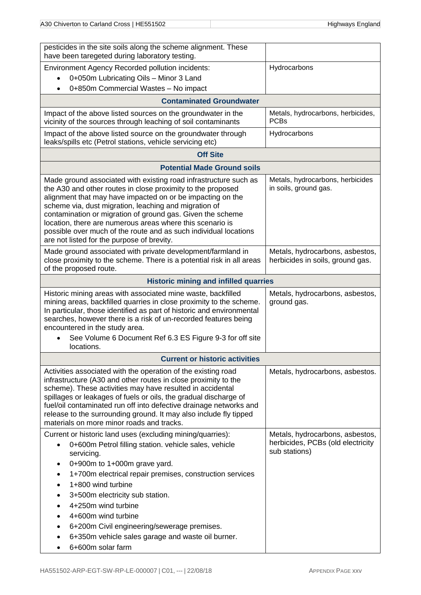| pesticides in the site soils along the scheme alignment. These<br>have been taregeted during laboratory testing.                                                                                                                                                                                                                                                                                                                                                                                    |                                                                     |
|-----------------------------------------------------------------------------------------------------------------------------------------------------------------------------------------------------------------------------------------------------------------------------------------------------------------------------------------------------------------------------------------------------------------------------------------------------------------------------------------------------|---------------------------------------------------------------------|
| <b>Environment Agency Recorded pollution incidents:</b>                                                                                                                                                                                                                                                                                                                                                                                                                                             | Hydrocarbons                                                        |
| 0+050m Lubricating Oils - Minor 3 Land                                                                                                                                                                                                                                                                                                                                                                                                                                                              |                                                                     |
| 0+850m Commercial Wastes - No impact<br>$\bullet$                                                                                                                                                                                                                                                                                                                                                                                                                                                   |                                                                     |
| <b>Contaminated Groundwater</b>                                                                                                                                                                                                                                                                                                                                                                                                                                                                     |                                                                     |
| Impact of the above listed sources on the groundwater in the<br>vicinity of the sources through leaching of soil contaminants                                                                                                                                                                                                                                                                                                                                                                       | Metals, hydrocarbons, herbicides,<br><b>PCBs</b>                    |
| Impact of the above listed source on the groundwater through<br>leaks/spills etc (Petrol stations, vehicle servicing etc)                                                                                                                                                                                                                                                                                                                                                                           | Hydrocarbons                                                        |
| <b>Off Site</b>                                                                                                                                                                                                                                                                                                                                                                                                                                                                                     |                                                                     |
| <b>Potential Made Ground soils</b>                                                                                                                                                                                                                                                                                                                                                                                                                                                                  |                                                                     |
| Made ground associated with existing road infrastructure such as<br>the A30 and other routes in close proximity to the proposed<br>alignment that may have impacted on or be impacting on the<br>scheme via, dust migration, leaching and migration of<br>contamination or migration of ground gas. Given the scheme<br>location, there are numerous areas where this scenario is<br>possible over much of the route and as such individual locations<br>are not listed for the purpose of brevity. | Metals, hydrocarbons, herbicides<br>in soils, ground gas.           |
| Made ground associated with private development/farmland in<br>close proximity to the scheme. There is a potential risk in all areas<br>of the proposed route.                                                                                                                                                                                                                                                                                                                                      | Metals, hydrocarbons, asbestos,<br>herbicides in soils, ground gas. |
| <b>Historic mining and infilled quarries</b>                                                                                                                                                                                                                                                                                                                                                                                                                                                        |                                                                     |
| Historic mining areas with associated mine waste, backfilled<br>mining areas, backfilled quarries in close proximity to the scheme.<br>In particular, those identified as part of historic and environmental<br>searches, however there is a risk of un-recorded features being<br>encountered in the study area.                                                                                                                                                                                   | Metals, hydrocarbons, asbestos,<br>ground gas.                      |
| See Volume 6 Document Ref 6.3 ES Figure 9-3 for off site<br>locations.                                                                                                                                                                                                                                                                                                                                                                                                                              |                                                                     |
| <b>Current or historic activities</b>                                                                                                                                                                                                                                                                                                                                                                                                                                                               |                                                                     |
| Activities associated with the operation of the existing road<br>infrastructure (A30 and other routes in close proximity to the<br>scheme). These activities may have resulted in accidental<br>spillages or leakages of fuels or oils, the gradual discharge of<br>fuel/oil contaminated run off into defective drainage networks and<br>release to the surrounding ground. It may also include fly tipped<br>materials on more minor roads and tracks.                                            | Metals, hydrocarbons, asbestos.                                     |
| Current or historic land uses (excluding mining/quarries):                                                                                                                                                                                                                                                                                                                                                                                                                                          | Metals, hydrocarbons, asbestos,                                     |
| 0+600m Petrol filling station. vehicle sales, vehicle<br>$\bullet$                                                                                                                                                                                                                                                                                                                                                                                                                                  | herbicides, PCBs (old electricity<br>sub stations)                  |
| servicing.                                                                                                                                                                                                                                                                                                                                                                                                                                                                                          |                                                                     |
| 0+900m to 1+000m grave yard.<br>1+700m electrical repair premises, construction services                                                                                                                                                                                                                                                                                                                                                                                                            |                                                                     |
| 1+800 wind turbine                                                                                                                                                                                                                                                                                                                                                                                                                                                                                  |                                                                     |
| 3+500m electricity sub station.                                                                                                                                                                                                                                                                                                                                                                                                                                                                     |                                                                     |
| 4+250m wind turbine                                                                                                                                                                                                                                                                                                                                                                                                                                                                                 |                                                                     |
| 4+600m wind turbine                                                                                                                                                                                                                                                                                                                                                                                                                                                                                 |                                                                     |
| 6+200m Civil engineering/sewerage premises.                                                                                                                                                                                                                                                                                                                                                                                                                                                         |                                                                     |
| 6+350m vehicle sales garage and waste oil burner.                                                                                                                                                                                                                                                                                                                                                                                                                                                   |                                                                     |
| 6+600m solar farm                                                                                                                                                                                                                                                                                                                                                                                                                                                                                   |                                                                     |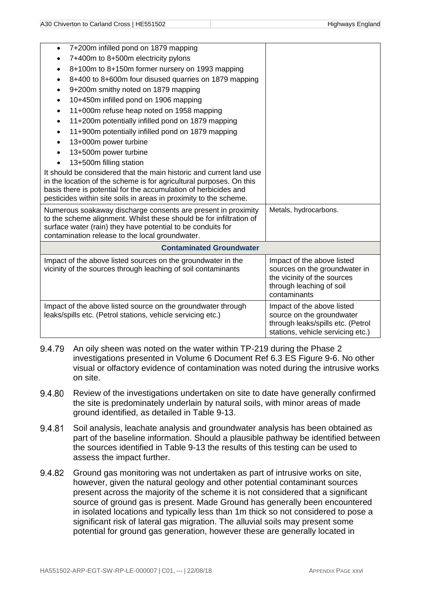| 7+200m infilled pond on 1879 mapping<br>$\bullet$                                                                                  |                                                                |
|------------------------------------------------------------------------------------------------------------------------------------|----------------------------------------------------------------|
| 7+400m to 8+500m electricity pylons                                                                                                |                                                                |
| 8+100m to 8+150m former nursery on 1993 mapping<br>٠                                                                               |                                                                |
| 8+400 to 8+600m four disused quarries on 1879 mapping<br>$\bullet$                                                                 |                                                                |
| 9+200m smithy noted on 1879 mapping<br>$\bullet$                                                                                   |                                                                |
| 10+450m infilled pond on 1906 mapping                                                                                              |                                                                |
| 11+000m refuse heap noted on 1958 mapping<br>$\bullet$                                                                             |                                                                |
| 11+200m potentially infilled pond on 1879 mapping<br>$\bullet$                                                                     |                                                                |
| 11+900m potentially infilled pond on 1879 mapping<br>$\bullet$                                                                     |                                                                |
| 13+000m power turbine                                                                                                              |                                                                |
| 13+500m power turbine                                                                                                              |                                                                |
| 13+500m filling station                                                                                                            |                                                                |
| It should be considered that the main historic and current land use                                                                |                                                                |
| in the location of the scheme is for agricultural purposes. On this                                                                |                                                                |
| basis there is potential for the accumulation of herbicides and                                                                    |                                                                |
| pesticides within site soils in areas in proximity to the scheme.                                                                  |                                                                |
| Numerous soakaway discharge consents are present in proximity                                                                      | Metals, hydrocarbons.                                          |
| to the scheme alignment. Whilst these should be for infiltration of<br>surface water (rain) they have potential to be conduits for |                                                                |
| contamination release to the local groundwater.                                                                                    |                                                                |
| <b>Contaminated Groundwater</b>                                                                                                    |                                                                |
| Impact of the above listed sources on the groundwater in the                                                                       | Impact of the above listed                                     |
| vicinity of the sources through leaching of soil contaminants                                                                      | sources on the groundwater in                                  |
|                                                                                                                                    | the vicinity of the sources                                    |
|                                                                                                                                    | through leaching of soil                                       |
|                                                                                                                                    | contaminants                                                   |
| Impact of the above listed source on the groundwater through                                                                       | Impact of the above listed                                     |
| leaks/spills etc. (Petrol stations, vehicle servicing etc.)                                                                        | source on the groundwater<br>through leaks/spills etc. (Petrol |
|                                                                                                                                    | stations, vehicle servicing etc.)                              |

- An oily sheen was noted on the water within TP-219 during the Phase 2 9.4.79 investigations presented in Volume 6 Document Ref 6.3 ES Figure 9-6. No other visual or olfactory evidence of contamination was noted during the intrusive works on site.
- 9.4.80 Review of the investigations undertaken on site to date have generally confirmed the site is predominately underlain by natural soils, with minor areas of made ground identified, as detailed in [Table 9-13.](#page-26-1)
- 9.4.81 Soil analysis, leachate analysis and groundwater analysis has been obtained as part of the baseline information. Should a plausible pathway be identified between the sources identified in [Table 9-13](#page-26-1) the results of this testing can be used to assess the impact further.
- 9.4.82 Ground gas monitoring was not undertaken as part of intrusive works on site, however, given the natural geology and other potential contaminant sources present across the majority of the scheme it is not considered that a significant source of ground gas is present. Made Ground has generally been encountered in isolated locations and typically less than 1m thick so not considered to pose a significant risk of lateral gas migration. The alluvial soils may present some potential for ground gas generation, however these are generally located in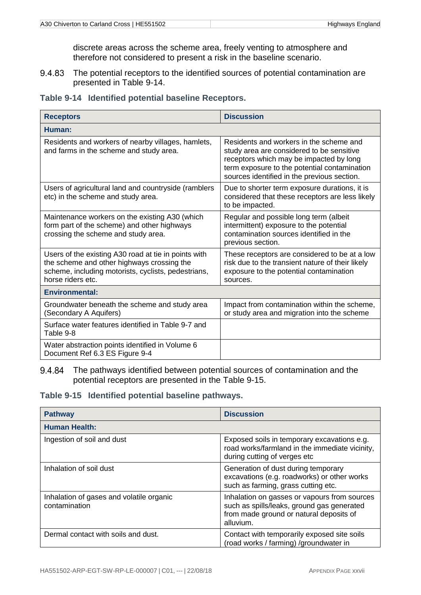discrete areas across the scheme area, freely venting to atmosphere and therefore not considered to present a risk in the baseline scenario.

The potential receptors to the identified sources of potential contamination are 9.4.83 presented in [Table 9-14.](#page-30-2)

<span id="page-30-2"></span><span id="page-30-0"></span>

|  |  |  |  | Table 9-14 Identified potential baseline Receptors. |
|--|--|--|--|-----------------------------------------------------|
|--|--|--|--|-----------------------------------------------------|

| <b>Receptors</b>                                                                                                                                                               | <b>Discussion</b>                                                                                                                                                                                                              |
|--------------------------------------------------------------------------------------------------------------------------------------------------------------------------------|--------------------------------------------------------------------------------------------------------------------------------------------------------------------------------------------------------------------------------|
| Human:                                                                                                                                                                         |                                                                                                                                                                                                                                |
| Residents and workers of nearby villages, hamlets,<br>and farms in the scheme and study area.                                                                                  | Residents and workers in the scheme and<br>study area are considered to be sensitive<br>receptors which may be impacted by long<br>term exposure to the potential contamination<br>sources identified in the previous section. |
| Users of agricultural land and countryside (ramblers<br>etc) in the scheme and study area.                                                                                     | Due to shorter term exposure durations, it is<br>considered that these receptors are less likely<br>to be impacted.                                                                                                            |
| Maintenance workers on the existing A30 (which<br>form part of the scheme) and other highways<br>crossing the scheme and study area.                                           | Regular and possible long term (albeit<br>intermittent) exposure to the potential<br>contamination sources identified in the<br>previous section.                                                                              |
| Users of the existing A30 road at tie in points with<br>the scheme and other highways crossing the<br>scheme, including motorists, cyclists, pedestrians,<br>horse riders etc. | These receptors are considered to be at a low<br>risk due to the transient nature of their likely<br>exposure to the potential contamination<br>sources.                                                                       |
| <b>Environmental:</b>                                                                                                                                                          |                                                                                                                                                                                                                                |
| Groundwater beneath the scheme and study area<br>(Secondary A Aquifers)                                                                                                        | Impact from contamination within the scheme,<br>or study area and migration into the scheme                                                                                                                                    |
| Surface water features identified in Table 9-7 and<br>Table 9-8                                                                                                                |                                                                                                                                                                                                                                |
| Water abstraction points identified in Volume 6<br>Document Ref 6.3 ES Figure 9-4                                                                                              |                                                                                                                                                                                                                                |

#### 9.4.84 The pathways identified between potential sources of contamination and the potential receptors are presented in the [Table 9-15.](#page-30-3)

<span id="page-30-3"></span><span id="page-30-1"></span>**Table 9-15 Identified potential baseline pathways.**

| <b>Pathway</b>                                            | <b>Discussion</b>                                                                                                                                  |
|-----------------------------------------------------------|----------------------------------------------------------------------------------------------------------------------------------------------------|
| <b>Human Health:</b>                                      |                                                                                                                                                    |
| Ingestion of soil and dust                                | Exposed soils in temporary excavations e.g.<br>road works/farmland in the immediate vicinity,<br>during cutting of verges etc                      |
| Inhalation of soil dust                                   | Generation of dust during temporary<br>excavations (e.g. roadworks) or other works<br>such as farming, grass cutting etc.                          |
| Inhalation of gases and volatile organic<br>contamination | Inhalation on gasses or vapours from sources<br>such as spills/leaks, ground gas generated<br>from made ground or natural deposits of<br>alluvium. |
| Dermal contact with soils and dust.                       | Contact with temporarily exposed site soils<br>(road works / farming) /groundwater in                                                              |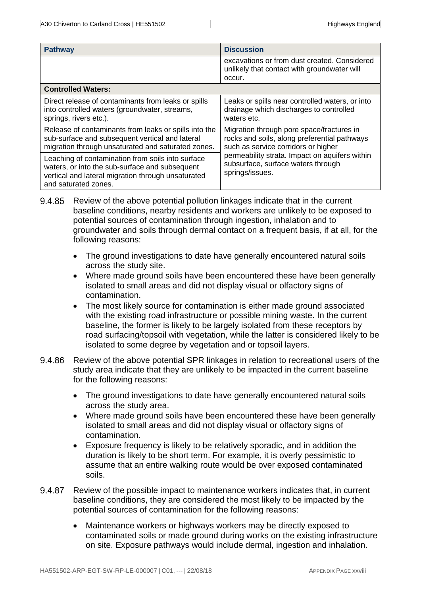| <b>Pathway</b>                                                                                                                                                                    | <b>Discussion</b>                                                                                                                |  |
|-----------------------------------------------------------------------------------------------------------------------------------------------------------------------------------|----------------------------------------------------------------------------------------------------------------------------------|--|
|                                                                                                                                                                                   | excavations or from dust created. Considered<br>unlikely that contact with groundwater will<br>occur.                            |  |
| <b>Controlled Waters:</b>                                                                                                                                                         |                                                                                                                                  |  |
| Direct release of contaminants from leaks or spills<br>into controlled waters (groundwater, streams,<br>springs, rivers etc.).                                                    | Leaks or spills near controlled waters, or into<br>drainage which discharges to controlled<br>waters etc.                        |  |
| Release of contaminants from leaks or spills into the<br>sub-surface and subsequent vertical and lateral<br>migration through unsaturated and saturated zones.                    | Migration through pore space/fractures in<br>rocks and soils, along preferential pathways<br>such as service corridors or higher |  |
| Leaching of contamination from soils into surface<br>waters, or into the sub-surface and subsequent<br>vertical and lateral migration through unsaturated<br>and saturated zones. | permeability strata. Impact on aquifers within<br>subsurface, surface waters through<br>springs/issues.                          |  |

9.4.85 Review of the above potential pollution linkages indicate that in the current baseline conditions, nearby residents and workers are unlikely to be exposed to potential sources of contamination through ingestion, inhalation and to groundwater and soils through dermal contact on a frequent basis, if at all, for the following reasons:

- The ground investigations to date have generally encountered natural soils across the study site.
- Where made ground soils have been encountered these have been generally isolated to small areas and did not display visual or olfactory signs of contamination.
- The most likely source for contamination is either made ground associated with the existing road infrastructure or possible mining waste. In the current baseline, the former is likely to be largely isolated from these receptors by road surfacing/topsoil with vegetation, while the latter is considered likely to be isolated to some degree by vegetation and or topsoil layers.
- 9.4.86 Review of the above potential SPR linkages in relation to recreational users of the study area indicate that they are unlikely to be impacted in the current baseline for the following reasons:
	- The ground investigations to date have generally encountered natural soils across the study area.
	- Where made ground soils have been encountered these have been generally isolated to small areas and did not display visual or olfactory signs of contamination.
	- Exposure frequency is likely to be relatively sporadic, and in addition the duration is likely to be short term. For example, it is overly pessimistic to assume that an entire walking route would be over exposed contaminated soils.
- 9.4.87 Review of the possible impact to maintenance workers indicates that, in current baseline conditions, they are considered the most likely to be impacted by the potential sources of contamination for the following reasons:
	- Maintenance workers or highways workers may be directly exposed to contaminated soils or made ground during works on the existing infrastructure on site. Exposure pathways would include dermal, ingestion and inhalation.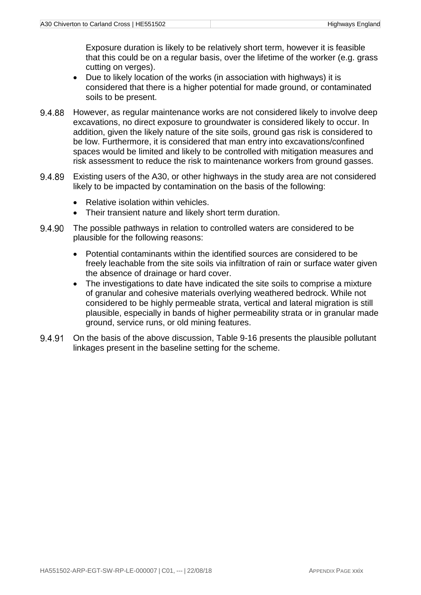Exposure duration is likely to be relatively short term, however it is feasible that this could be on a regular basis, over the lifetime of the worker (e.g. grass cutting on verges).

- Due to likely location of the works (in association with highways) it is considered that there is a higher potential for made ground, or contaminated soils to be present.
- However, as regular maintenance works are not considered likely to involve deep 9.4.88 excavations, no direct exposure to groundwater is considered likely to occur. In addition, given the likely nature of the site soils, ground gas risk is considered to be low. Furthermore, it is considered that man entry into excavations/confined spaces would be limited and likely to be controlled with mitigation measures and risk assessment to reduce the risk to maintenance workers from ground gasses.
- 9.4.89 Existing users of the A30, or other highways in the study area are not considered likely to be impacted by contamination on the basis of the following:
	- Relative isolation within vehicles.
	- Their transient nature and likely short term duration.
- 9.4.90 The possible pathways in relation to controlled waters are considered to be plausible for the following reasons:
	- Potential contaminants within the identified sources are considered to be freely leachable from the site soils via infiltration of rain or surface water given the absence of drainage or hard cover.
	- The investigations to date have indicated the site soils to comprise a mixture of granular and cohesive materials overlying weathered bedrock. While not considered to be highly permeable strata, vertical and lateral migration is still plausible, especially in bands of higher permeability strata or in granular made ground, service runs, or old mining features.
- 9.4.91 On the basis of the above discussion, [Table 9-16](#page-33-1) presents the plausible pollutant linkages present in the baseline setting for the scheme.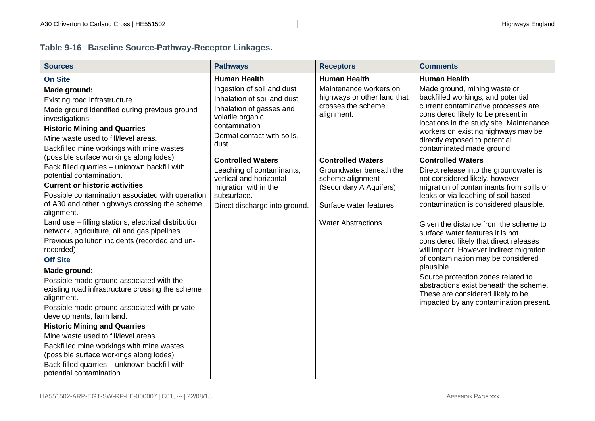# **Table 9-16 Baseline Source-Pathway-Receptor Linkages.**

<span id="page-33-1"></span><span id="page-33-0"></span>

| <b>Sources</b>                                                                                       | <b>Pathways</b>                                      | <b>Receptors</b>                           | <b>Comments</b>                                                             |
|------------------------------------------------------------------------------------------------------|------------------------------------------------------|--------------------------------------------|-----------------------------------------------------------------------------|
| <b>On Site</b>                                                                                       | <b>Human Health</b>                                  | <b>Human Health</b>                        | <b>Human Health</b>                                                         |
| Made ground:                                                                                         | Ingestion of soil and dust                           | Maintenance workers on                     | Made ground, mining waste or                                                |
| Existing road infrastructure                                                                         | Inhalation of soil and dust                          | highways or other land that                | backfilled workings, and potential                                          |
| Made ground identified during previous ground                                                        | Inhalation of gasses and                             | crosses the scheme<br>alignment.           | current contaminative processes are<br>considered likely to be present in   |
| investigations                                                                                       | volatile organic<br>contamination                    |                                            | locations in the study site. Maintenance                                    |
| <b>Historic Mining and Quarries</b>                                                                  | Dermal contact with soils,                           |                                            | workers on existing highways may be                                         |
| Mine waste used to fill/level areas.                                                                 | dust.                                                |                                            | directly exposed to potential                                               |
| Backfilled mine workings with mine wastes<br>(possible surface workings along lodes)                 |                                                      |                                            | contaminated made ground.                                                   |
| Back filled quarries - unknown backfill with                                                         | <b>Controlled Waters</b>                             | <b>Controlled Waters</b>                   | <b>Controlled Waters</b>                                                    |
| potential contamination.                                                                             | Leaching of contaminants,<br>vertical and horizontal | Groundwater beneath the                    | Direct release into the groundwater is                                      |
| <b>Current or historic activities</b>                                                                | migration within the                                 | scheme alignment<br>(Secondary A Aquifers) | not considered likely, however<br>migration of contaminants from spills or  |
| Possible contamination associated with operation                                                     | subsurface.                                          |                                            | leaks or via leaching of soil based                                         |
| of A30 and other highways crossing the scheme                                                        | Direct discharge into ground.                        | Surface water features                     | contamination is considered plausible.                                      |
| alignment.                                                                                           |                                                      |                                            |                                                                             |
| Land use - filling stations, electrical distribution<br>network, agriculture, oil and gas pipelines. |                                                      | <b>Water Abstractions</b>                  | Given the distance from the scheme to                                       |
| Previous pollution incidents (recorded and un-                                                       |                                                      |                                            | surface water features it is not<br>considered likely that direct releases  |
| recorded).                                                                                           |                                                      |                                            | will impact. However indirect migration                                     |
| <b>Off Site</b>                                                                                      |                                                      |                                            | of contamination may be considered                                          |
| Made ground:                                                                                         |                                                      |                                            | plausible.                                                                  |
| Possible made ground associated with the                                                             |                                                      |                                            | Source protection zones related to                                          |
| existing road infrastructure crossing the scheme                                                     |                                                      |                                            | abstractions exist beneath the scheme.<br>These are considered likely to be |
| alignment.                                                                                           |                                                      |                                            | impacted by any contamination present.                                      |
| Possible made ground associated with private                                                         |                                                      |                                            |                                                                             |
| developments, farm land.                                                                             |                                                      |                                            |                                                                             |
| <b>Historic Mining and Quarries</b>                                                                  |                                                      |                                            |                                                                             |
| Mine waste used to fill/level areas.                                                                 |                                                      |                                            |                                                                             |
| Backfilled mine workings with mine wastes<br>(possible surface workings along lodes)                 |                                                      |                                            |                                                                             |
| Back filled quarries - unknown backfill with                                                         |                                                      |                                            |                                                                             |
| potential contamination                                                                              |                                                      |                                            |                                                                             |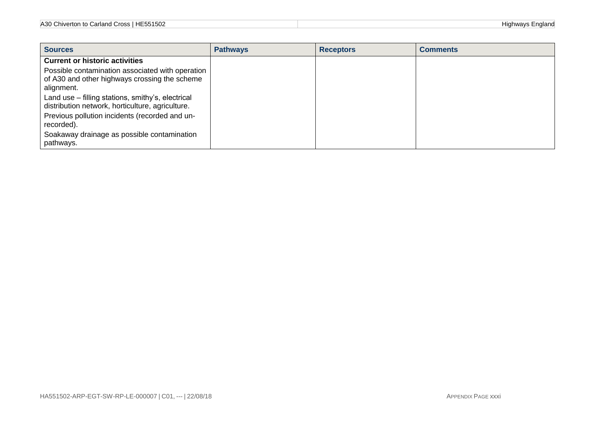| A30 Chiverton to<br>-<br>HE551502<br>Carland 、<br>∵r∩ee<br>,,,,,,, | .<br>.<br>diand |
|--------------------------------------------------------------------|-----------------|
|                                                                    |                 |

| <b>Sources</b>                                                                                                  | <b>Pathways</b> | <b>Receptors</b> | <b>Comments</b> |
|-----------------------------------------------------------------------------------------------------------------|-----------------|------------------|-----------------|
| <b>Current or historic activities</b>                                                                           |                 |                  |                 |
| Possible contamination associated with operation<br>of A30 and other highways crossing the scheme<br>alignment. |                 |                  |                 |
| Land use – filling stations, smithy's, electrical<br>distribution network, horticulture, agriculture.           |                 |                  |                 |
| Previous pollution incidents (recorded and un-<br>recorded).                                                    |                 |                  |                 |
| Soakaway drainage as possible contamination<br>pathways.                                                        |                 |                  |                 |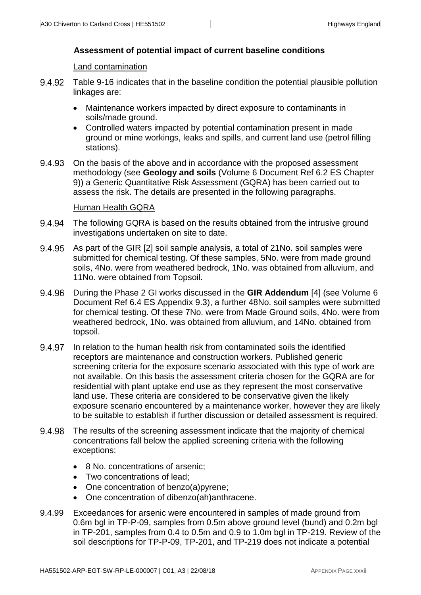#### **Assessment of potential impact of current baseline conditions**

Land contamination

- 9492 [Table 9-16](#page-33-0) indicates that in the baseline condition the potential plausible pollution linkages are:
	- Maintenance workers impacted by direct exposure to contaminants in soils/made ground.
	- Controlled waters impacted by potential contamination present in made ground or mine workings, leaks and spills, and current land use (petrol filling stations).
- 9.4.93 On the basis of the above and in accordance with the proposed assessment methodology (see **Geology and soils** (Volume 6 Document Ref 6.2 ES Chapter 9)) a Generic Quantitative Risk Assessment (GQRA) has been carried out to assess the risk. The details are presented in the following paragraphs.

#### Human Health GQRA

- The following GQRA is based on the results obtained from the intrusive ground 9.4.94 investigations undertaken on site to date.
- 9.4.95 As part of the GIR [2] soil sample analysis, a total of 21No. soil samples were submitted for chemical testing. Of these samples, 5No. were from made ground soils, 4No. were from weathered bedrock, 1No. was obtained from alluvium, and 11No. were obtained from Topsoil.
- 9.4.96 During the Phase 2 GI works discussed in the **GIR Addendum** [4] (see Volume 6 Document Ref 6.4 ES Appendix 9.3), a further 48No. soil samples were submitted for chemical testing. Of these 7No. were from Made Ground soils, 4No. were from weathered bedrock, 1No. was obtained from alluvium, and 14No. obtained from topsoil.
- 9497 In relation to the human health risk from contaminated soils the identified receptors are maintenance and construction workers. Published generic screening criteria for the exposure scenario associated with this type of work are not available. On this basis the assessment criteria chosen for the GQRA are for residential with plant uptake end use as they represent the most conservative land use. These criteria are considered to be conservative given the likely exposure scenario encountered by a maintenance worker, however they are likely to be suitable to establish if further discussion or detailed assessment is required.
- 9.4.98 The results of the screening assessment indicate that the majority of chemical concentrations fall below the applied screening criteria with the following exceptions:
	- 8 No. concentrations of arsenic;
	- Two concentrations of lead;
	- One concentration of benzo(a)pyrene;
	- One concentration of dibenzo(ah)anthracene.
- 9.4.99 Exceedances for arsenic were encountered in samples of made ground from 0.6m bgl in TP-P-09, samples from 0.5m above ground level (bund) and 0.2m bgl in TP-201, samples from 0.4 to 0.5m and 0.9 to 1.0m bgl in TP-219. Review of the soil descriptions for TP-P-09, TP-201, and TP-219 does not indicate a potential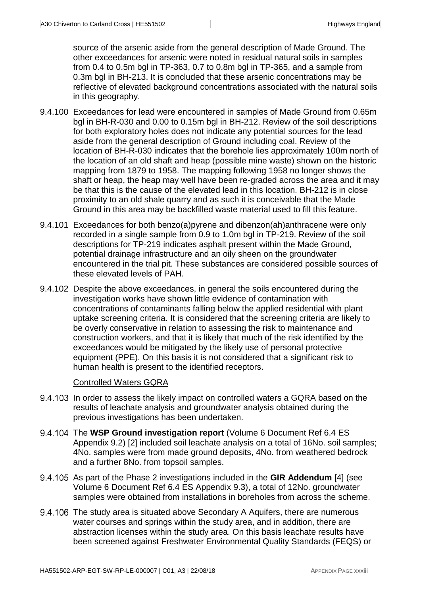source of the arsenic aside from the general description of Made Ground. The other exceedances for arsenic were noted in residual natural soils in samples from 0.4 to 0.5m bgl in TP-363, 0.7 to 0.8m bgl in TP-365, and a sample from 0.3m bgl in BH-213. It is concluded that these arsenic concentrations may be reflective of elevated background concentrations associated with the natural soils in this geography.

- 9.4.100 Exceedances for lead were encountered in samples of Made Ground from 0.65m bgl in BH-R-030 and 0.00 to 0.15m bgl in BH-212. Review of the soil descriptions for both exploratory holes does not indicate any potential sources for the lead aside from the general description of Ground including coal. Review of the location of BH-R-030 indicates that the borehole lies approximately 100m north of the location of an old shaft and heap (possible mine waste) shown on the historic mapping from 1879 to 1958. The mapping following 1958 no longer shows the shaft or heap, the heap may well have been re-graded across the area and it may be that this is the cause of the elevated lead in this location. BH-212 is in close proximity to an old shale quarry and as such it is conceivable that the Made Ground in this area may be backfilled waste material used to fill this feature.
- 9.4.101 Exceedances for both benzo(a)pyrene and dibenzon(ah)anthracene were only recorded in a single sample from 0.9 to 1.0m bgl in TP-219. Review of the soil descriptions for TP-219 indicates asphalt present within the Made Ground, potential drainage infrastructure and an oily sheen on the groundwater encountered in the trial pit. These substances are considered possible sources of these elevated levels of PAH.
- 9.4.102 Despite the above exceedances, in general the soils encountered during the investigation works have shown little evidence of contamination with concentrations of contaminants falling below the applied residential with plant uptake screening criteria. It is considered that the screening criteria are likely to be overly conservative in relation to assessing the risk to maintenance and construction workers, and that it is likely that much of the risk identified by the exceedances would be mitigated by the likely use of personal protective equipment (PPE). On this basis it is not considered that a significant risk to human health is present to the identified receptors.

#### Controlled Waters GQRA

- 9.4.103 In order to assess the likely impact on controlled waters a GQRA based on the results of leachate analysis and groundwater analysis obtained during the previous investigations has been undertaken.
- 9.4.104 The **WSP Ground investigation report** (Volume 6 Document Ref 6.4 ES Appendix 9.2) [2] included soil leachate analysis on a total of 16No. soil samples; 4No. samples were from made ground deposits, 4No. from weathered bedrock and a further 8No. from topsoil samples.
- As part of the Phase 2 investigations included in the **GIR Addendum** [4] (see Volume 6 Document Ref 6.4 ES Appendix 9.3), a total of 12No. groundwater samples were obtained from installations in boreholes from across the scheme.
- 9.4.106 The study area is situated above Secondary A Aquifers, there are numerous water courses and springs within the study area, and in addition, there are abstraction licenses within the study area. On this basis leachate results have been screened against Freshwater Environmental Quality Standards (FEQS) or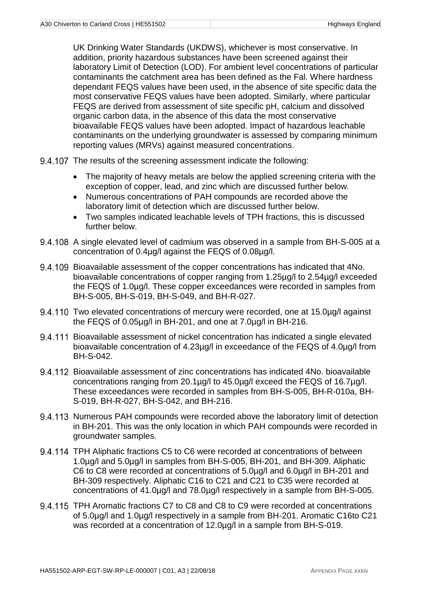UK Drinking Water Standards (UKDWS), whichever is most conservative. In addition, priority hazardous substances have been screened against their laboratory Limit of Detection (LOD). For ambient level concentrations of particular contaminants the catchment area has been defined as the Fal. Where hardness dependant FEQS values have been used, in the absence of site specific data the most conservative FEQS values have been adopted. Similarly, where particular FEQS are derived from assessment of site specific pH, calcium and dissolved organic carbon data, in the absence of this data the most conservative bioavailable FEQS values have been adopted. Impact of hazardous leachable contaminants on the underlying groundwater is assessed by comparing minimum reporting values (MRVs) against measured concentrations.

- 9.4.107 The results of the screening assessment indicate the following:
	- The majority of heavy metals are below the applied screening criteria with the exception of copper, lead, and zinc which are discussed further below.
	- Numerous concentrations of PAH compounds are recorded above the laboratory limit of detection which are discussed further below.
	- Two samples indicated leachable levels of TPH fractions, this is discussed further below.
- 9.4.108 A single elevated level of cadmium was observed in a sample from BH-S-005 at a concentration of 0.4µg/l against the FEQS of 0.08µg/l.
- Bioavailable assessment of the copper concentrations has indicated that 4No. bioavailable concentrations of copper ranging from 1.25µg/l to 2.54µg/l exceeded the FEQS of 1.0µg/l. These copper exceedances were recorded in samples from BH-S-005, BH-S-019, BH-S-049, and BH-R-027.
- 9.4.110 Two elevated concentrations of mercury were recorded, one at 15.0µg/l against the FEQS of 0.05µg/l in BH-201, and one at 7.0µg/l in BH-216.
- Bioavailable assessment of nickel concentration has indicated a single elevated bioavailable concentration of 4.23µg/l in exceedance of the FEQS of 4.0µg/l from BH-S-042.
- Bioavailable assessment of zinc concentrations has indicated 4No. bioavailable concentrations ranging from 20.1µg/l to 45.0µg/l exceed the FEQS of 16.7µg/l. These exceedances were recorded in samples from BH-S-005, BH-R-010a, BH-S-019, BH-R-027, BH-S-042, and BH-216.
- 9.4.113 Numerous PAH compounds were recorded above the laboratory limit of detection in BH-201. This was the only location in which PAH compounds were recorded in groundwater samples.
- 9.4.114 TPH Aliphatic fractions C5 to C6 were recorded at concentrations of between 1.0µg/l and 5.0µg/l in samples from BH-S-005, BH-201, and BH-309. Aliphatic C6 to C8 were recorded at concentrations of 5.0µg/l and 6.0µg/l in BH-201 and BH-309 respectively. Aliphatic C16 to C21 and C21 to C35 were recorded at concentrations of 41.0µg/l and 78.0µg/l respectively in a sample from BH-S-005.
- 9.4.115 TPH Aromatic fractions C7 to C8 and C8 to C9 were recorded at concentrations of 5.0µg/l and 1.0µg/l respectively in a sample from BH-201. Aromatic C16to C21 was recorded at a concentration of 12.0µg/l in a sample from BH-S-019.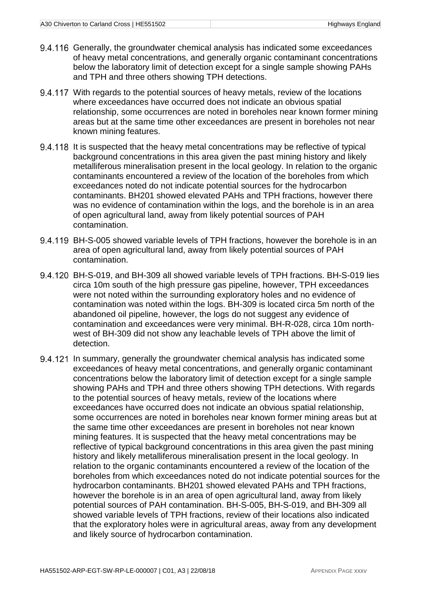- 9.4.116 Generally, the groundwater chemical analysis has indicated some exceedances of heavy metal concentrations, and generally organic contaminant concentrations below the laboratory limit of detection except for a single sample showing PAHs and TPH and three others showing TPH detections.
- 9.4.117 With regards to the potential sources of heavy metals, review of the locations where exceedances have occurred does not indicate an obvious spatial relationship, some occurrences are noted in boreholes near known former mining areas but at the same time other exceedances are present in boreholes not near known mining features.
- 9.4.118 It is suspected that the heavy metal concentrations may be reflective of typical background concentrations in this area given the past mining history and likely metalliferous mineralisation present in the local geology. In relation to the organic contaminants encountered a review of the location of the boreholes from which exceedances noted do not indicate potential sources for the hydrocarbon contaminants. BH201 showed elevated PAHs and TPH fractions, however there was no evidence of contamination within the logs, and the borehole is in an area of open agricultural land, away from likely potential sources of PAH contamination.
- BH-S-005 showed variable levels of TPH fractions, however the borehole is in an area of open agricultural land, away from likely potential sources of PAH contamination.
- BH-S-019, and BH-309 all showed variable levels of TPH fractions. BH-S-019 lies circa 10m south of the high pressure gas pipeline, however, TPH exceedances were not noted within the surrounding exploratory holes and no evidence of contamination was noted within the logs. BH-309 is located circa 5m north of the abandoned oil pipeline, however, the logs do not suggest any evidence of contamination and exceedances were very minimal. BH-R-028, circa 10m northwest of BH-309 did not show any leachable levels of TPH above the limit of detection.
- 9.4.121 In summary, generally the groundwater chemical analysis has indicated some exceedances of heavy metal concentrations, and generally organic contaminant concentrations below the laboratory limit of detection except for a single sample showing PAHs and TPH and three others showing TPH detections. With regards to the potential sources of heavy metals, review of the locations where exceedances have occurred does not indicate an obvious spatial relationship, some occurrences are noted in boreholes near known former mining areas but at the same time other exceedances are present in boreholes not near known mining features. It is suspected that the heavy metal concentrations may be reflective of typical background concentrations in this area given the past mining history and likely metalliferous mineralisation present in the local geology. In relation to the organic contaminants encountered a review of the location of the boreholes from which exceedances noted do not indicate potential sources for the hydrocarbon contaminants. BH201 showed elevated PAHs and TPH fractions, however the borehole is in an area of open agricultural land, away from likely potential sources of PAH contamination. BH-S-005, BH-S-019, and BH-309 all showed variable levels of TPH fractions, review of their locations also indicated that the exploratory holes were in agricultural areas, away from any development and likely source of hydrocarbon contamination.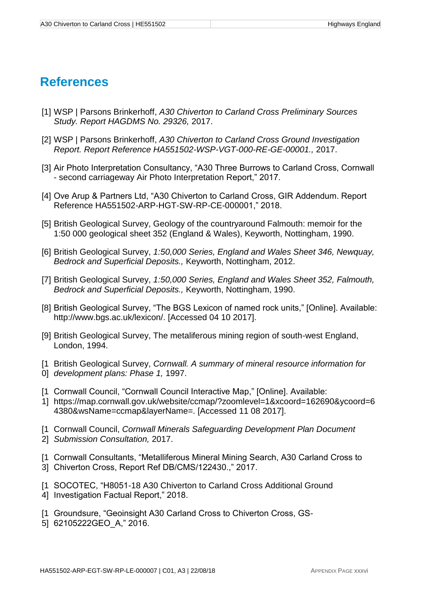# <span id="page-39-0"></span>**References**

- [1] WSP | Parsons Brinkerhoff, *A30 Chiverton to Carland Cross Preliminary Sources Study. Report HAGDMS No. 29326,* 2017.
- [2] WSP | Parsons Brinkerhoff, *A30 Chiverton to Carland Cross Ground Investigation Report. Report Reference HA551502-WSP-VGT-000-RE-GE-00001.,* 2017.
- [3] Air Photo Interpretation Consultancy, "A30 Three Burrows to Carland Cross, Cornwall - second carriageway Air Photo Interpretation Report," 2017.
- [4] Ove Arup & Partners Ltd, "A30 Chiverton to Carland Cross, GIR Addendum. Report Reference HA551502-ARP-HGT-SW-RP-CE-000001," 2018.
- [5] British Geological Survey, Geology of the countryaround Falmouth: memoir for the 1:50 000 geological sheet 352 (England & Wales), Keyworth, Nottingham, 1990.
- [6] British Geological Survey, *1:50,000 Series, England and Wales Sheet 346, Newquay, Bedrock and Superficial Deposits.,* Keyworth, Nottingham, 2012.
- [7] British Geological Survey, *1:50,000 Series, England and Wales Sheet 352, Falmouth, Bedrock and Superficial Deposits.,* Keyworth, Nottingham, 1990.
- [8] British Geological Survey, "The BGS Lexicon of named rock units," [Online]. Available: http://www.bgs.ac.uk/lexicon/. [Accessed 04 10 2017].
- [9] British Geological Survey, The metaliferous mining region of south-west England, London, 1994.
- [1 British Geological Survey, *Cornwall. A summary of mineral resource information for*
- 0] *development plans: Phase 1,* 1997.
- [1 Cornwall Council, "Cornwall Council Interactive Map," [Online]. Available:
- 1] https://map.cornwall.gov.uk/website/ccmap/?zoomlevel=1&xcoord=162690&ycoord=6 4380&wsName=ccmap&layerName=. [Accessed 11 08 2017].
- [1 Cornwall Council, *Cornwall Minerals Safeguarding Development Plan Document*
- 2] *Submission Consultation,* 2017.
- [1 Cornwall Consultants, "Metalliferous Mineral Mining Search, A30 Carland Cross to
- 3] Chiverton Cross, Report Ref DB/CMS/122430.," 2017.
- [1 SOCOTEC, "H8051-18 A30 Chiverton to Carland Cross Additional Ground 4] Investigation Factual Report," 2018.
- [1 Groundsure, "Geoinsight A30 Carland Cross to Chiverton Cross, GS-
- 5] 62105222GEO\_A," 2016.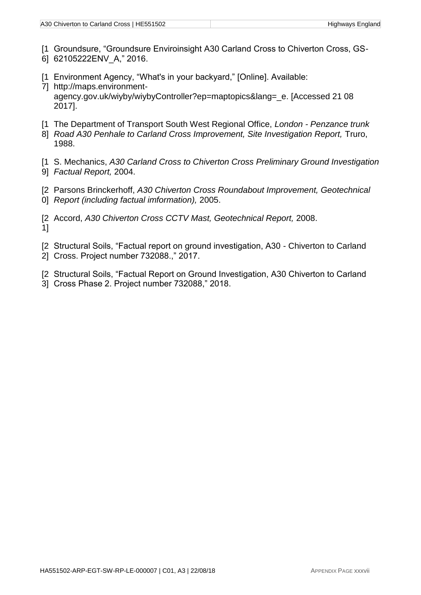- [1 Groundsure, "Groundsure Enviroinsight A30 Carland Cross to Chiverton Cross, GS-
- 6] 62105222ENV\_A," 2016.
- [1 Environment Agency, "What's in your backyard," [Online]. Available:
- 7] http://maps.environmentagency.gov.uk/wiyby/wiybyController?ep=maptopics&lang= e. [Accessed 21 08 2017].
- [1 The Department of Transport South West Regional Office, *London - Penzance trunk*
- 8] Road A30 Penhale to Carland Cross Improvement, Site Investigation Report, Truro, 1988.
- [1 S. Mechanics, *A30 Carland Cross to Chiverton Cross Preliminary Ground Investigation*
- 9] *Factual Report,* 2004.
- [2 Parsons Brinckerhoff, *A30 Chiverton Cross Roundabout Improvement, Geotechnical*
- 0] *Report (including factual imformation),* 2005.
- [2 Accord, *A30 Chiverton Cross CCTV Mast, Geotechnical Report,* 2008. 1]
- [2 Structural Soils, "Factual report on ground investigation, A30 Chiverton to Carland
- 2] Cross. Project number 732088.," 2017.
- [2 Structural Soils, "Factual Report on Ground Investigation, A30 Chiverton to Carland
- 3] Cross Phase 2. Project number 732088," 2018.